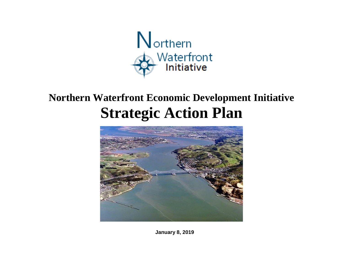

# **Northern Waterfront Economic Development Initiative Strategic Action Plan**



 $N = N$ **January 8, 2019**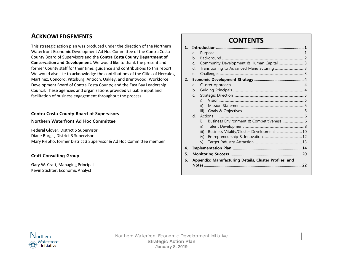# **ACKNOWLEDGEMENTS**

This strategic action plan was produced under the direction of the Northern Waterfront Economic Development Ad Hoc Committee of the Contra Costa County Board of Supervisors and the **Contra Costa County Department of Conservation and Development**. We would like to thank the present and former County staff for their time, guidance and contributions to this report. We would also like to acknowledge the contributions of the Cities of Hercules, Martinez, Concord, Pittsburg, Antioch, Oakley, and Brentwood; Workforce Development Board of Contra Costa County; and the East Bay Leadership Council. These agencies and organizations provided valuable input and facilitation of business engagement throughout the process.

#### **Contra Costa County Board of Supervisors**

#### **Northern Waterfront Ad Hoc Committee**

Federal Glover, District 5 Supervisor Diane Burgis, District 3 Supervisor Mary Piepho, former District 3 Supervisor & Ad Hoc Committee member

#### **Craft Consulting Group**

Gary W. Craft, Managing Principal Kevin Stichter, Economic Analyst

#### **CONTENTS 1. Introduction .................................................................................... 1** a. Purpose............................................................................................................1 b. Background ...................................................................................................2 c. Community Development & Human Capital ...............................3 d. Transitioning to Advanced Manufacturing....................................3 e. Challenges......................................................................................................3 **2. Economic Development Strategy................................................ 4** a. Cluster Approach........................................................................................4 b. Guiding Principals ......................................................................................4 c. Strategic Direction .....................................................................................5 i) Vision.......................................................................................................5 ii) Mission Statement............................................................................5 iii) Goals & Objectives...........................................................................5 d. Actions .......................................................................................................6 i) Business Environment & Competitiveness ..........................6 ii) Talent Development .......................................................................8 iii) Business Vitality/Cluster Development ................................ 10 iv) Entrepreneurship & Innovation............................................... 12 v) Target Industry Attraction ........................................................ 13 **4. Implementation Plan .................................................................. 14 5. Monitoring Success .................................................................... 20 6. Appendix: Manufacturing Details, Cluster Profiles, and**

**Notes.............................................................................................. 22**

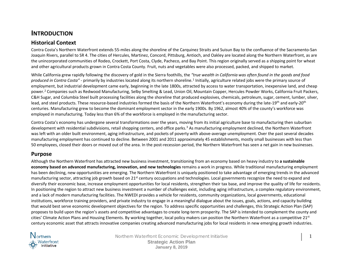# **INTRODUCTION**

### **Historical Context**

Contra Costa's Northern Waterfront extends 55-miles along the shoreline of the Carquinez Straits and Suisun Bay to the confluence of the Sacramento-San Joaquin Rivers, parallel to SR 4. The cities of Hercules, Martinez, Concord, Pittsburg, Antioch, and Oakley are located along the Northern Waterfront, as are the unincorporated communities of Rodeo, Crockett, Port Costa, Clyde, Pacheco, and Bay Point. This region originally served as a shipping point for wheat and other agricultural products grown in Contra Costa County. Fruit, nuts and vegetables were also processed, packed, and shipped to market.

While California grew rapidly following the discovery of gold in the Sierra foothills, the *"true wealth in California was often found in the goods and food produced in Contra Costa" -* primarily by industries located along its northern shoreline.[1](#page-36-0) Initially, agriculture related jobs were the primary source of employment, but industrial development came early, beginning in the late 1800s, attracted by access to water transportation, inexpensive land, and cheap power.<sup>[2](#page-36-1)</sup> Companies such as Redwood Manufacturing, Selby Smelting & Lead, Union Oil, Mountain Copper, Hercules Powder Works, California Fruit Packers, C&H Sugar, and Columbia Steel built processing facilities along the shoreline that produced explosives, chemicals, petroleum, sugar, cement, lumber, silver, lead, and steel products. These resource-based industries formed the basis of the Northern Waterfront's economy during the late-19<sup>th</sup> and early-20<sup>th</sup> centuries. Manufacturing grew to become the dominant employment sector in the early 1900s. By 1962, almost 40% of the county's workforce was employed in manufacturing. Today less than 6% of the workforce is employed in the manufacturing sector.

Contra Costa's economy has undergone several transformations over the years, moving from its initial agriculture base to manufacturing then suburban development with residential subdivisions, retail shopping centers, and office parks.<sup>[3](#page-36-2)</sup> As manufacturing employment declined, the Northern Waterfront was left with an older built environment, aging infrastructure, and pockets of poverty with above-average unemployment. Over the past several decades manufacturing employment has continued to decline. Between 2001 and 2011 approximately 45 establishments, mostly small businesses with less than 50 employees, closed their doors or moved out of the area. In the post-recession period, the Northern Waterfront has seen a net gain in new businesses.

### **Purpose**

Although the Northern Waterfront has attracted new business investment, transitioning from an economy based on heavy industry to **a sustainable economy based on advanced manufacturing, innovation, and new technologies** remains a work in progress. While traditional manufacturing employment has been declining, new opportunities are emerging. The Northern Waterfront is uniquely positioned to take advantage of emerging trends in the advanced manufacturing sector, attracting job growth based on 21<sup>st</sup> century occupations and technologies. Local governments recognize the need to expand and diversify their economic base, increase employment opportunities for local residents, strengthen their tax base, and improve the quality of life for residents. In positioning the region to attract new business investment a number of challenges exist, including aging infrastructure, a complex regulatory environment, and a lack of modern manufacturing facilities. The NWEDI provides a vehicle for residents, community organizations, local governments, educational institutions, workforce training providers, and private industry to engage in a meaningful dialogue about the issues, goals, actions, and capacity building that would best serve economic development objectives for the region. To address specific opportunities and challenges, this Strategic Action Plan (SAP) proposes to build upon the region's assets and competitive advantages to create long-term prosperity. The SAP is intended to complement the county and cities' Climate Action Plans and Housing Elements. By working together, local policy makers can position the Northern Waterfront as a competitive  $21<sup>st</sup>$ century economic asset that attracts innovative companies creating advanced manufacturing jobs for local residents in new emerging growth industries.



Northern Waterfront Economic Development Initiative 1 1 **Strategic Action Plan**

**January 8, 2019**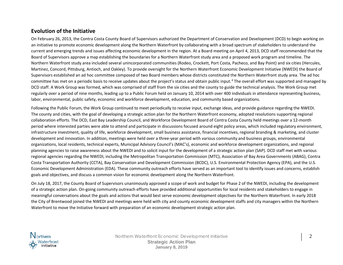### **Evolution of the Initiative**

On February 26, 2013, the Contra Costa County Board of Supervisors authorized the Department of Conservation and Development (DCD) to begin working on an initiative to promote economic development along the Northern Waterfront by collaborating with a broad spectrum of stakeholders to understand the current and emerging trends and issues affecting economic development in the region. At a Board meeting on April 4, 2013, DCD staff recommended that the Board of Supervisors approve a map establishing the boundaries for a Northern Waterfront study area and a proposed work program and timeline. The Northern Waterfront study area included several unincorporated communities (Rodeo, Crockett, Port Costa, Pacheco, and Bay Point) and six cities (Hercules, Martinez, Concord, Pittsburg, Antioch, and Oakley). To provide oversight for the Northern Waterfront Economic Development Initiative (NWEDI) the Board of Supervisors established an ad hoc committee composed of two Board members whose districts constituted the Northern Waterfront study area. The ad hoc committee has met on a periodic basis to receive updates about the project's status and obtain public input.[4](#page-37-0) The overall effort was supported and managed by DCD staff. A Work Group was formed, which was comprised of staff from the six cities and the county to guide the technical analysis. The Work Group met regularly over a period of nine months, leading up to a Public Forum held on January 10, 2014 with over 400 individuals in attendance representing business, labor, environmental, public safety, economic and workforce development, education, and community based organizations.

Following the Public Forum, the Work Group continued to meet periodically to receive input, exchange ideas, and provide guidance regarding the NWEDI. The county and cities, with the goal of developing a strategic action plan for the Northern Waterfront economy, adopted resolutions supporting regional collaboration efforts. The DCD, East Bay Leadership Council, and Workforce Development Board of Contra Costa County held meetings over a 12-month period where interested parties were able to attend and participate in discussions focused around eight policy areas, which included regulatory environment, infrastructure investment, quality of life, workforce development, small business assistance, financial incentives, regional branding & marketing, and cluster development and innovation. In addition, meetings were held over a three-year period with various community and business groups, environmental organizations, local residents, technical experts, Municipal Advisory Council's (MAC's), economic and workforce development organizations, and regional planning agencies to raise awareness about the NWEDI and to solicit input for the development of a strategic action plan (SAP). DCD staff met with various regional agencies regarding the NWEDI, including the Metropolitan Transportation Commission (MTC), Association of Bay Area Governments (ABAG), Contra Costa Transportation Authority (CCTA), Bay Conservation and Development Commission (BCDC), U.S. Environmental Protection Agency (EPA), and the U.S. Economic Development Administration (EDA). These community outreach efforts have served as an important tool to identify issues and concerns, establish goals and objectives, and discuss a common vision for economic development along the Northern Waterfront.

On July 18, 2017, the County Board of Supervisors unanimously approved a scope of work and budget for Phase 2 of the NWEDI, including the development of a strategic action plan. On-going community outreach efforts have provided additional opportunities for local residents and stakeholders to engage in meaningful conversations about the goals and actions that would best serve economic development objectives for the Northern Waterfront. In early 2018 the City of Brentwood joined the NWEDI and meetings were held with city and county economic development staffs and city managers within the Northern Waterfront to move the Initiative forward with preparation of an economic development strategic action plan.



Northern Waterfront Economic Development Initiative **2 2 Strategic Action Plan January 8, 2019**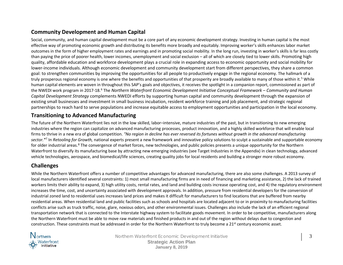# **Community Development and Human Capital**

Social, community, and human capital development must be a core part of any economic development strategy. Investing in human capital is the most effective way of promoting economic growth and distributing its benefits more broadly and equitably. Improving worker's skills enhances labor market outcomes in the form of higher employment rates and earnings and in promoting social mobility. In the long run, investing in worker's skills is far less costly than paying the price of poorer health, lower incomes, unemployment and social exclusion – all of which are closely tied to lower skills. Promoting high quality, affordable education and workforce development plays a crucial role in expanding access to economic opportunity and social mobility for lower-income individuals. Although economic development and community development start from different perspectives, they share a common goal: to strengthen communities by improving the opportunities for all people to productively engage in the regional economy. The hallmark of a truly prosperous regional economy is one where the benefits and opportunities of that prosperity are broadly available to many of those within it.<sup>[5](#page-37-1)</sup> While human capital elements are woven in throughout this SAP's goals and objectives, it receives the spotlight in a companion report, commissioned as part of the NWEDI work program in 2017-18.[6](#page-37-2) The *Northern Waterfront Economic Development Initiative Conceptual Framework – Community and Human Capital Development Strategy* complements NWEDI efforts by supporting human capital and community development through the expansion of existing small businesses and investment in small business incubation, resident workforce training and job placement, and strategic regional partnerships to reach hard to serve populations and increase equitable access to employment opportunities and participation in the local economy.

### **Transitioning to Advanced Manufacturing**

The future of the Northern Waterfront lies not in the low skilled, labor–intensive, mature industries of the past, but in transitioning to new emerging industries where the region can capitalize on advanced manufacturing processes, product innovation, and a highly skilled workforce that will enable local firms to thrive in a new era of global competition. *"No region in decline has ever reversed its fortunes without growth in the advanced manufacturing sector."*[7](#page-37-3) In *Retooling for Growth,* national experts present a new framework and innovative policy solutions to sculpt a sustainable and supportable economy for older industrial areas.<sup>[8](#page-37-4)</sup> The convergence of market forces, new technologies, and public policies presents a unique opportunity for the Northern Waterfront to diversify its manufacturing base by attracting new emerging industries (see Target Industries in the Appendix) in clean technology, advanced vehicle technologies, aerospace, and biomedical/life sciences, creating quality jobs for local residents and building a stronger more robust economy.

# **Challenges**

While the Northern Waterfront offers a number of competitive advantages for advanced manufacturing, there are also some challenges. A 2013 survey of local manufacturers identified several constraints: 1) most small manufacturing firms are in need of financing and marketing assistance, 2) the lack of trained workers limits their ability to expand, 3) high utility costs, rental rates, and land and building costs increase operating cost, and 4) the regulatory environment increases the time, cost, and uncertainty associated with development approvals. In addition, pressure from residential developers for the conversion of industrial zoned land to residential uses increases land prices and makes it difficult for manufacturers to find locations that are buffered from nearby residential areas. When residential land and public facilities such as schools and hospitals are located adjacent to or in proximity to manufacturing facilities conflicts arise such as truck traffic, noise, glare, noxious odors, and other environmental issues. Challenges also include the lack of an efficient regional transportation network that is connected to the Interstate highway system to facilitate goods movement. In order to be competitive, manufacturers along the Northern Waterfront must be able to move raw materials and finished products in and out of the region without delays due to congestion and construction. These constraints must be addressed in order for the Northern Waterfront to truly become a 21<sup>st</sup> century economic asset.



Northern Waterfront Economic Development Initiative **3** 3

**Strategic Action Plan January 8, 2019**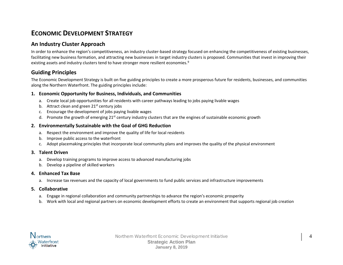# **ECONOMIC DEVELOPMENT STRATEGY**

## **An Industry Cluster Approach**

In order to enhance the region's competitiveness, an industry cluster-based strategy focused on enhancing the competitiveness of existing businesses, facilitating new business formation, and attracting new businesses in target industry clusters is proposed. Communities that invest in improving their existing assets and industry clusters tend to have stronger more resilient economies.<sup>[9](#page-37-5)</sup>

### **Guiding Principles**

The Economic Development Strategy is built on five guiding principles to create a more prosperous future for residents, businesses, and communities along the Northern Waterfront. The guiding principles include:

#### **1. Economic Opportunity for Business, Individuals, and Communities**

- a. Create local job opportunities for all residents with career pathways leading to jobs paying livable wages
- b. Attract clean and green  $21<sup>st</sup>$  century jobs
- c. Encourage the development of jobs paying livable wages
- d. Promote the growth of emerging  $21^{st}$  century industry clusters that are the engines of sustainable economic growth

#### **2. Environmentally Sustainable with the Goal of GHG Reduction**

- a. Respect the environment and improve the quality of life for local residents
- b. Improve public access to the waterfront
- c. Adopt placemaking principles that incorporate local community plans and improves the quality of the physical environment

#### **3. Talent Driven**

- a. Develop training programs to improve access to advanced manufacturing jobs
- b. Develop a pipeline of skilled workers

#### **4. Enhanced Tax Base**

a. Increase tax revenues and the capacity of local governments to fund public services and infrastructure improvements

#### **5. Collaborative**

- a. Engage in regional collaboration and community partnerships to advance the region's economic prosperity
- b. Work with local and regional partners on economic development efforts to create an environment that supports regional job creation

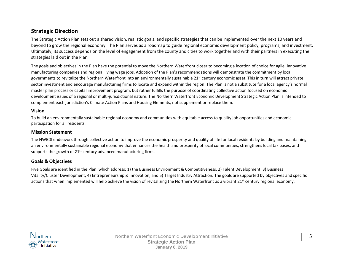## **Strategic Direction**

The Strategic Action Plan sets out a shared vision, realistic goals, and specific strategies that can be implemented over the next 10 years and beyond to grow the regional economy. The Plan serves as a roadmap to guide regional economic development policy, programs, and investment. Ultimately, its success depends on the level of engagement from the county and cities to work together and with their partners in executing the strategies laid out in the Plan.

The goals and objectives in the Plan have the potential to move the Northern Waterfront closer to becoming a location of choice for agile, innovative manufacturing companies and regional living wage jobs. Adoption of the Plan's recommendations will demonstrate the commitment by local governments to revitalize the Northern Waterfront into an environmentally sustainable 21<sup>st</sup> century economic asset. This in turn will attract private sector investment and encourage manufacturing firms to locate and expand within the region. The Plan is not a substitute for a local agency's normal master plan process or capital improvement program, but rather fulfills the purpose of coordinating collective action focused on economic development issues of a regional or multi-jurisdictional nature. The Northern Waterfront Economic Development Strategic Action Plan is intended to complement each jurisdiction's Climate Action Plans and Housing Elements, not supplement or replace them.

#### **Vision**

To build an environmentally sustainable regional economy and communities with equitable access to quality job opportunities and economic participation for all residents.

#### **Mission Statement**

The NWEDI endeavors through collective action to improve the economic prosperity and quality of life for local residents by building and maintaining an environmentally sustainable regional economy that enhances the health and prosperity of local communities, strengthens local tax bases, and supports the growth of  $21<sup>st</sup>$  century advanced manufacturing firms.

#### **Goals & Objectives**

Five Goals are identified in the Plan, which address: 1) the Business Environment & Competitiveness, 2) Talent Development, 3) Business Vitality/Cluster Development, 4) Entrepreneurship & Innovation, and 5) Target Industry Attraction. The goals are supported by objectives and specific actions that when implemented will help achieve the vision of revitalizing the Northern Waterfront as a vibrant  $21<sup>st</sup>$  century regional economy.

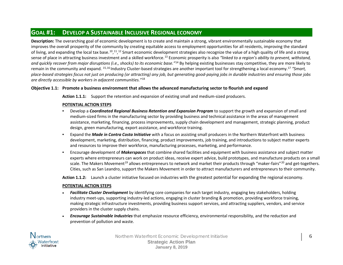# **GOAL #1: DEVELOP A SUSTAINABLE INCLUSIVE REGIONAL ECONOMY**

**Description:** The overarching goal of economic development is to create and maintain a strong, vibrant environmentally sustainable economy that improves the overall prosperity of the community by creating equitable access to employment opportunities for all residents, improving the standard of living, and expanding the local tax base.<sup>10</sup>,<sup>[11](#page-37-7)</sup>,<sup>[12](#page-37-8)</sup> Smart economic development strategies also recognize the value of a high quality of life and a strong sense of place in attracting business investment and a skilled workforce.<sup>[13](#page-37-9)</sup> Economic prosperity is also "linked to a region's ability to prevent, withstand, *and quickly recover from major disruptions (i.e., shocks) to its economic base."*[14](#page-37-10) By helping existing businesses stay competitive, they are more likely to remain in the community and expand. [15,](#page-37-11)[16](#page-37-12) Industry Cluster-based strategies are another important tool for strengthening a local economy.[17](#page-37-13) *"Smart, place-based strategies focus not just on producing (or attracting) any job, but generating good-paying jobs in durable industries and ensuring those jobs are directly accessible by workers in adjacent communities."*[18](#page-37-14)

#### **Objective 1.1: Promote a business environment that allows the advanced manufacturing sector to flourish and expand**

**Action 1.1.1:** Support the retention and expansion of existing small and medium-sized producers.

#### **POTENTIAL ACTION STEPS**

- Develop a *Coordinated Regional Business Retention and Expansion Program* to support the growth and expansion of small and medium-sized firms in the manufacturing sector by providing business and technical assistance in the areas of management assistance, marketing, financing, process improvements, supply chain development and management, strategic planning, product design, green manufacturing, export assistance, and workforce training.
- Expand the *Made in Contra Costa Initiative* with a focus on assisting small producers in the Northern Waterfront with business development, marketing, distribution, financing, product improvements, job training, and introductions to subject matter experts and resources to improve their workforce, manufacturing processes, marketing, and performance.
- Encourage development of *Makerspaces* that combine shared facilities and equipment with business assistance and subject matter experts where entrepreneurs can work on product ideas, receive expert advice, build prototypes, and manufacture products on a small scale. The Makers Movement<sup>[19](#page-37-15)</sup> allows entrepreneurs to network and market their products through "maker-fairs"<sup>[20](#page-37-16)</sup> and get-togethers. Cities, such as San Leandro, support the Makers Movement in order to attract manufacturers and entrepreneurs to their community.

**Action 1.1.2:** Launch a cluster initiative focused on industries with the greatest potential for expanding the regional economy.

#### **POTENTIAL ACTION STEPS**

- *Facilitate Cluster Development* by identifying core companies for each target industry, engaging key stakeholders, holding industry meet-ups, supporting industry-led actions, engaging in cluster branding & promotion, providing workforce training, making strategic infrastructure investments, providing business support services, and attracting suppliers, vendors, and service providers in the cluster supply chains.
- *Encourage Sustainable Industries* that emphasize resource efficiency, environmental responsibility, and the reduction and prevention of pollution and waste.



Northern Waterfront Economic Development Initiative **6** 6 **Strategic Action Plan January 8, 2019**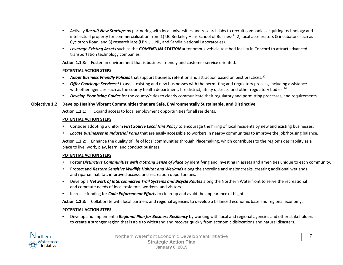- Actively *Recruit New Startups* by partnering with local universities and research labs to recruit companies acquiring technology and intellectual property for commercialization from 1) UC Berkeley Haas School of Business<sup>21</sup> 2) local accelerators & incubators such as Cyclotron Road, and 3) research labs (LBNL, LLNL, and Sandia National Laboratories).
- *Leverage Existing Assets* such as the *GOMENTUM STATION* autonomous-vehicle test bed facility in Concord to attract advanced transportation technology companies.

**Action 1.1.3:** Foster an environment that is business friendly and customer service oriented.

#### **POTENTIAL ACTION STEPS**

- *Adopt Business Friendly Policies* that support business retention and attraction based on best practices.<sup>[22](#page-37-18)</sup>
- *Offer Concierge Services*[23](#page-37-19) to assist existing and new businesses with the permitting and regulatory process, including assistance with other agencies such as the county health department, fire district, utility districts, and other regulatory bodies.<sup>[24](#page-37-20)</sup>
- *Develop Permitting Guides* for the county/cities to clearly communicate their regulatory and permitting processes, and requirements.

#### **Objective 1.2: Develop Healthy Vibrant Communities that are Safe, Environmentally Sustainable, and Distinctive**

**Action 1.2.1:** Expand access to local employment opportunities for all residents.

#### **POTENTIAL ACTION STEPS**

- Consider adopting a uniform *First Source Local Hire Policy* to encourage the hiring of local residents by new and existing businesses.
- *Locate Businesses in Industrial Parks* that are easily accessible to workers in nearby communities to improve the job/housing balance.

**Action 1.2.2:** Enhance the quality of life of local communities through Placemaking, which contributes to the region's desirability as a place to live, work, play, learn, and conduct business.

#### **POTENTIAL ACTION STEPS**

- Foster *Distinctive Communities with a Strong Sense of Place* by identifying and investing in assets and amenities unique to each community.
- Protect and *Restore Sensitive Wildlife Habitat and Wetlands* along the shoreline and major creeks, creating additional wetlands and riparian habitat, improved access, and recreation opportunities.
- Develop a *Network of Interconnected Trail Systems and Bicycle Routes* along the Northern Waterfront to serve the recreational and commute needs of local residents, workers, and visitors.
- Increase funding for *Code Enforcement Efforts* to clean-up and avoid the appearance of blight.

**Action 1.2.3:** Collaborate with local partners and regional agencies to develop a balanced economic base and regional economy.

#### **POTENTIAL ACTION STEPS**

• Develop and implement a *Regional Plan for Business Resiliency* by working with local and regional agencies and other stakeholders to create a stronger region that is able to withstand and recover quickly from economic dislocations and natural disasters.



Northern Waterfront Economic Development Initiative 7 1999 1999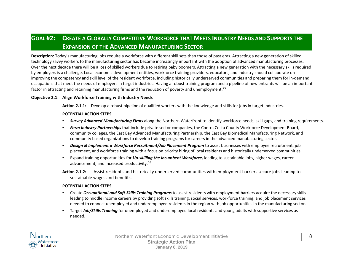# **GOAL #2: CREATE A GLOBALLY COMPETITIVE WORKFORCE THAT MEETS INDUSTRY NEEDS AND SUPPORTS THE EXPANSION OF THE ADVANCED MANUFACTURING SECTOR**

**Description:** Today's manufacturing jobs require a workforce with different skill sets than those of past eras. Attracting a new generation of skilled, technology savvy workers to the manufacturing sector has become increasingly important with the adoption of advanced manufacturing processes. Over the next decade there will be a loss of skilled workers due to retiring baby boomers. Attracting a new generation with the necessary skills required by employers is a challenge. Local economic development entities, workforce training providers, educators, and industry should collaborate on improving the competency and skill level of the resident workforce, including historically underserved communities and preparing them for in-demand occupations that meet the needs of employers in target industries. Having a robust training program and a pipeline of new entrants will be an important factor in attracting and retaining manufacturing firms and the reduction of poverty and unemployment.<sup>[25](#page-37-21)</sup>

#### **Objective 2.1: Align Workforce Training with Industry Needs.**

**Action 2.1.1:** Develop a robust pipeline of qualified workers with the knowledge and skills for jobs in target industries.

#### **POTENTIAL ACTION STEPS**

- *Survey Advanced Manufacturing Firms* along the Northern Waterfront to identify workforce needs, skill gaps, and training requirements.
- *Form industry Partnerships* that include private sector companies, the Contra Costa County Workforce Development Board, community colleges, the East Bay Advanced Manufacturing Partnership, the East Bay Biomedical Manufacturing Network, and community based organizations to develop training programs for careers in the advanced manufacturing sector.
- *Design & Implement a Workforce Recruitment/Job Placement Program* to assist businesses with employee recruitment, job placement, and workforce training with a focus on priority hiring of local residents and historically underserved communities.
- Expand training opportunities for *Up-skilling the Incumbent Workforce,* leading to sustainable jobs, higher wages, career advancement, and increased productivity.<sup>[26](#page-37-22)</sup>
- **Action 2.1.2:** Assist residents and historically underserved communities with employment barriers secure jobs leading to sustainable wages and benefits.

#### **POTENTIAL ACTION STEPS**

- Create *Occupational and Soft Skills Training Programs* to assist residents with employment barriers acquire the necessary skills leading to middle income careers by providing soft skills training, social services, workforce training, and job placement services needed to connect unemployed and underemployed residents in the region with job opportunities in the manufacturing sector.
- Target *Job/Skills Training* for unemployed and underemployed local residents and young adults with supportive services as needed.



Northern Waterfront Economic Development Initiative **8 8 Strategic Action Plan January 8, 2019**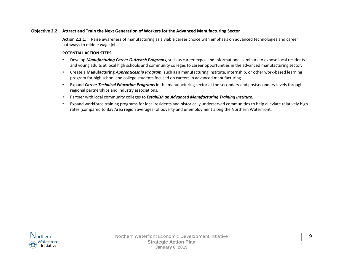#### **Objective 2.2: Attract and Train the Next Generation of Workers for the Advanced Manufacturing Sector**

**Action 2.2.1:** Raise awareness of manufacturing as a viable career choice with emphasis on advanced technologies and career pathways to middle wage jobs.

#### **POTENTIAL ACTION STEPS**

- Develop *Manufacturing Career Outreach Programs*, such as career expos and informational seminars to expose local residents and young adults at local high schools and community colleges to career opportunities in the advanced manufacturing sector.
- Create a **Manufacturing** *Apprenticeship Program*, such as a manufacturing institute, internship, or other work-based learning program for high school and college students focused on careers in advanced manufacturing.
- Expand *Career Technical Education Programs* in the manufacturing sector at the secondary and postsecondary levels through regional partnerships and industry associations.
- Partner with local community colleges to *Establish an Advanced Manufacturing Training Institute.*
- Expand workforce training programs for local residents and historically underserved communities to help alleviate relatively high rates (compared to Bay Area region averages) of poverty and unemployment along the Northern Waterfront.

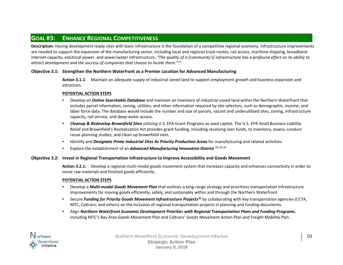# **GOAL #3: ENHANCE REGIONAL COMPETITIVENESS**

**Description:** Having development ready sites with basic infrastructure is the foundation of a competitive regional economy. Infrastructure improvements are needed to support the expansion of the manufacturing sector, including local and regional truck routes, rail access, maritime shipping, broadband internet capacity, electrical power, and sewer/water infrastructure. *"The quality of a [community's] infrastructure has a profound effect on its ability to attract development and the success of companies that choose to locate there."*[27](#page-37-23)

#### **Objective 3.1: Strengthen the Northern Waterfront as a Premier Location for Advanced Manufacturing**

**Action 3.1.1:** Maintain an adequate supply of industrial zoned land to support employment growth and business expansion and attraction.

#### **POTENTIAL ACTION STEPS**

- Develop an *Online Searchable Database* and maintain an inventory of industrial zoned land within the Northern Waterfront that includes parcel information, zoning, utilities, and other information required by site selectors, such as demographic, income, and labor force data. The database would include the number and size of parcels, vacant and underutilized sites, zoning, infrastructure capacity, rail service, and deep-water access.
- *Cleanup & Redevelop Brownfield Sites* utilizing U.S. EPA Grant Programs as seed capital. The U.S. EPA Small Business Liability Relief and Brownfield's Revitalization Act provides grant funding, including revolving loan funds, to inventory, assess, conduct reuse planning studies, and clean-up brownfield sites.
- Identify and *Designate Prime Industrial Sites As Priority Production Areas* for manufacturing and related activities.
- Explore the establishment of an *Advanced Manufacturing Innovation District* [28,](#page-37-24)[29](#page-37-25),[30](#page-37-26)

#### **Objective 3.2: Invest in Regional Transportation Infrastructure to Improve Accessibility and Goods Movement**

**Action 3.2.1:** Develop a regional multi-modal goods movement system that increases capacity and enhances connectivity in order to move raw materials and finished goods efficiently.

#### **POTENTIAL ACTION STEPS**

- Develop a *Multi-modal Goods Movement Plan* that outlines a long-range strategy and prioritizes transportation infrastructure improvements for moving goods efficiently, safely, and sustainably within and through the Northern Waterfront.
- Secure *Funding for Priority Goods Movement Infrastructure Projects***[31](#page-37-27)** by collaborating with key transportation agencies (CCTA, MTC, Caltrans, and others) on the inclusion of regional transportation projects in planning and funding documents.
- Align *Northern Waterfront Economic Development Prioritie*s *with Regional Transportation Plans and Funding Programs*, including MTC's Bay Area Goods Movement Plan and Caltrans' Goods Movement Action Plan and Freight Mobility Plan.



Northern Waterfront Economic Development Initiative 10 10 **Strategic Action Plan January 8, 2019**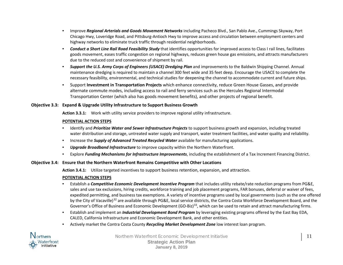- Improve *Regional Arterials and Goods Movement Networks* including Pacheco Blvd., San Pablo Ave., Cummings Skyway, Port Chicago Hwy, Loveridge Road, and Pittsburg-Antioch Hwy to improve access and circulation between employment centers and highway networks to eliminate truck traffic through residential neighborhoods.
- *Conduct a Short Line Rail Road Feasibility Study* that identifies opportunities for improved access to Class I rail lines, facilitates goods movement, eases traffic congestion on regional highways, reduces green house gas emissions, and attracts manufacturers due to the reduced cost and convenience of shipment by rail.
- *Support the U.S. Army Corps of Engineers (USACE) Dredging Plan* and improvements to the Baldwin Shipping Channel. Annual maintenance dredging is required to maintain a channel 300 feet wide and 35 feet deep. Encourage the USACE to complete the necessary feasibility, environmental, and technical studies for deepening the channel to accommodate current and future ships.
- Support **Investment in Transportation Projects** which enhance connectivity, reduce Green House Gasses, and provide alternate commute modes, including access to rail and ferry services such as the Hercules Regional Intermodal Transportation Center (which also has goods movement benefits), and other projects of regional benefit.

#### **Objective 3.3: Expand & Upgrade Utility Infrastructure to Support Business Growth**

**Action 3.3.1:** Work with utility service providers to improve regional utility infrastructure.

#### **POTENTIAL ACTION STEPS**

- Identify and *Prioritize Water and Sewer Infrastructure Projects* to support business growth and expansion, including treated water distribution and storage, untreated water supply and transport, water treatment facilities, and water quality and reliability.
- Increase the *Supply of Advanced Treated Recycled Water* available for manufacturing applications.
- *Upgrade Broadband Infrastructure* to improve capacity within the Northern Waterfront.
- Explore *Funding Mechanisms for Infrastructure Improvements*, including the establishment of a Tax Increment Financing District.

#### **Objective 3.4: Ensure that the Northern Waterfront Remains Competitive with Other Locations**

**Action 3.4.1:** Utilize targeted incentives to support business retention, expansion, and attraction.

#### **POTENTIAL ACTION STEPS**

- Establish a *Competitive Economic Development Incentive Program* that includes utility rebate/rate reduction programs from PG&E, sales and use tax exclusions, hiring credits, workforce training and job placement programs, FAR bonuses, deferral or waiver of fees, expedited permitting, and business tax exemptions. A variety of incentive programs used by local governments (such as the one offered by the City of Vacaville)<sup>[32](#page-37-28)</sup> are available through PG&E, local service districts, the Contra Costa Workforce Development Board, and the Governor's Office of Business and Economic Development (GO-Biz)<sup>33</sup>, which can be used to retain and attract manufacturing firms.
- Establish and implement an *Industrial Development Bond Program* by leveraging existing programs offered by the East Bay EDA, CALED, California Infrastructure and Economic Development Bank, and other entities.
- Actively market the Contra Costa County *Recycling Market Development Zone* low interest loan program.



Northern Waterfront Economic Development Initiative 11 11 **Strategic Action Plan January 8, 2019**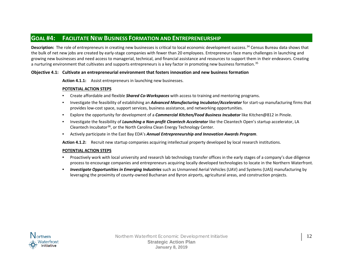# **GOAL #4: FACILITATE NEW BUSINESS FORMATION AND ENTREPRENEURSHIP**

**Description:** The role of entrepreneurs in creating new businesses is critical to local economic development success.<sup>[34](#page-37-30)</sup> Census Bureau data shows that the bulk of net new jobs are created by early-stage companies with fewer than 20 employees. Entrepreneurs face many challenges in launching and growing new businesses and need access to managerial, technical, and financial assistance and resources to support them in their endeavors. Creating a nurturing environment that cultivates and supports entrepreneurs is a key factor in promoting new business formation.<sup>[35](#page-37-31)</sup>

#### **Objective 4.1: Cultivate an entrepreneurial environment that fosters innovation and new business formation**

**Action 4.1.1:** Assist entrepreneurs in launching new businesses.

#### **POTENTIAL ACTION STEPS**

- Create affordable and flexible *Shared Co-Workspaces* with access to training and mentoring programs.
- Investigate the feasibility of establishing an *Advanced Manufacturing Incubator/Accelerator* for start-up manufacturing firms that provides low-cost space, support services, business assistance, and networking opportunities.
- Explore the opportunity for development of a *Commercial Kitchen/Food Business Incubator* like Kitchen@812 in Pinole.
- Investigate the feasibility of *Launching a Non-profit Cleantech Accelerator* like the Cleantech Open's startup accelerator, LA Cleantech Incubator<sup>36</sup>, or the North Carolina Clean Energy Technology Center.
- Actively participate in the East Bay EDA's *Annual Entrepreneurship and Innovation Awards Program*.

**Action 4.1.2:** Recruit new startup companies acquiring intellectual property developed by local research institutions.

#### **POTENTIAL ACTION STEPS**

- Proactively work with local university and research lab technology transfer offices in the early stages of a company's due diligence process to encourage companies and entrepreneurs acquiring locally developed technologies to locate in the Northern Waterfront.
- *Investigate Opportunities in Emerging Industries* such as Unmanned Aerial Vehicles (UAV) and Systems (UAS) manufacturing by leveraging the proximity of county-owned Buchanan and Byron airports, agricultural areas, and construction projects.

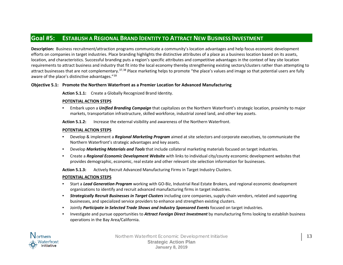# **Goal #5: ESTABLISH A REGIONAL BRAND IDENTITY TO ATTRACT NEW BUSINESS INVESTMENT**

**Description:** Business recruitment/attraction programs communicate a community's location advantages and help focus economic development efforts on companies in target industries. Place branding highlights the distinctive attributes of a place as a business location based on its assets, location, and characteristics. Successful branding puts a region's specific attributes and competitive advantages in the context of key site location requirements to attract business and industry that fit into the local economy thereby strengthening existing sectors/clusters rather than attempting to attract businesses that are not complementary.<sup>[37](#page-37-13),[38](#page-37-14)</sup> Place marketing helps to promote "the place's values and image so that potential users are fully aware of the place's distinctive advantages."[39](#page-37-32)

#### **Objective 5.1: Promote the Northern Waterfront as a Premier Location for Advanced Manufacturing**

**Action 5.1.1:** Create a Globally Recognized Brand Identity.

#### **POTENTIAL ACTION STEPS**

• Embark upon a *Unified Branding Campaign* that capitalizes on the Northern Waterfront's strategic location, proximity to major markets, transportation infrastructure, skilled workforce, industrial zoned land, and other key assets.

**Action 5.1.2:** Increase the external visibility and awareness of the Northern Waterfront.

#### **POTENTIAL ACTION STEPS**

- Develop & implement a *Regional Marketing Program* aimed at site selectors and corporate executives, to communicate the Northern Waterfront's strategic advantages and key assets.
- Develop *Marketing Materials and Tools* that include collateral marketing materials focused on target industries.
- Create a *Regional Economic Development Website* with links to individual city/county economic development websites that provides demographic, economic, real estate and other relevant site selection information for businesses.

**Action 5.1.3:** Actively Recruit Advanced Manufacturing Firms in Target Industry Clusters.

#### **POTENTIAL ACTION STEPS**

- Start a *Lead Generation Program* working with GO-Biz, Industrial Real Estate Brokers, and regional economic development organizations to identify and recruit advanced manufacturing firms in target industries.
- *Strategically Recruit Businesses in Target Clusters* including core companies, supply chain vendors, related and supporting businesses, and specialized service providers to enhance and strengthen existing clusters.
- Jointly *Participate in Selected Trade Shows and Industry Sponsored Events* focused on target industries.
- Investigate and pursue opportunities to *Attract Foreign Direct Investment* by manufacturing firms looking to establish business operations in the Bay Area/California.



Northern Waterfront Economic Development Initiative 13 13 **Strategic Action Plan January 8, 2019**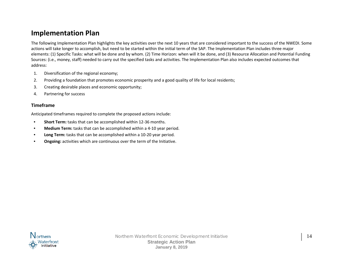# **Implementation Plan**

The following Implementation Plan highlights the key activities over the next 10 years that are considered important to the success of the NWEDI. Some actions will take longer to accomplish, but need to be started within the initial term of the SAP. The Implementation Plan includes three major elements: (1) Specific Tasks: what will be done and by whom. (2) Time Horizon: when will it be done, and (3) Resource Allocation and Potential Funding Sources: (i.e., money, staff) needed to carry out the specified tasks and activities. The Implementation Plan also includes expected outcomes that address:

- 1. Diversification of the regional economy;
- 2. Providing a foundation that promotes economic prosperity and a good quality of life for local residents;
- 3. Creating desirable places and economic opportunity;
- 4. Partnering for success

#### **Timeframe**

Anticipated timeframes required to complete the proposed actions include:

- **Short Term:** tasks that can be accomplished within 12-36 months.
- **Medium Term:** tasks that can be accomplished within a 4-10 year period.
- **Long Term:** tasks that can be accomplished within a 10-20 year period.
- **Ongoing:** activities which are continuous over the term of the Initiative.

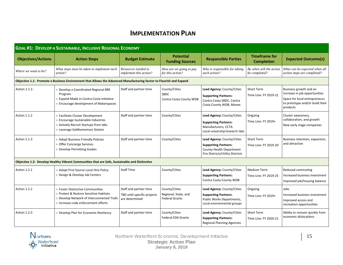# **IMPLEMENTATION PLAN**

| <b>GOAL #1: DEVELOP A SUSTAINABLE, INCLUSIVE REGIONAL ECONOMY</b> |                                                                                                                                                                 |                                                                         |                                                                |                                                                                                                           |                                            |                                                                                                                                         |
|-------------------------------------------------------------------|-----------------------------------------------------------------------------------------------------------------------------------------------------------------|-------------------------------------------------------------------------|----------------------------------------------------------------|---------------------------------------------------------------------------------------------------------------------------|--------------------------------------------|-----------------------------------------------------------------------------------------------------------------------------------------|
| <b>Objectives/Actions</b>                                         | <b>Action Steps</b>                                                                                                                                             | <b>Budget Estimate</b>                                                  | <b>Potential</b><br><b>Funding Sources</b>                     | <b>Responsible Parties</b>                                                                                                | <b>Timeframe for</b><br><b>Completion</b>  | <b>Expected Outcome(s)</b>                                                                                                              |
| Where we want to be?                                              | What steps must be taken to implement each<br>action?                                                                                                           | Resources needed to<br>implement this action?                           | How are we going to pay<br>for this action?                    | Who is responsible for taking<br>each action?                                                                             | By when will the action<br>be completed?   | What can be expected when all<br>action steps are completed?                                                                            |
|                                                                   | Objective 1.1: Promote a Business Environment that Allows the Advanced Manufacturing Sector to Flourish and Expand                                              |                                                                         |                                                                |                                                                                                                           |                                            |                                                                                                                                         |
| Action 1.1.1:                                                     | > Develop a Coordinated Regional BRE<br>Program<br>> Expand Made in Contra Costa Initiative<br>> Encourage development of Makerspaces                           | Staff and partner time                                                  | County/Cities<br><b>SBDC</b><br>Contra Costa County WDB        | Lead Agency: County/Cities<br><b>Supporting Partners:</b><br>Contra Costa SBDC, Contra<br>Costa County WDB, Manex         | <b>Short Term</b><br>Time Line: FY 2019-21 | Business growth and an<br>increase in job opportunities<br>Space for local entrepreneurs<br>to prototype and/or build their<br>products |
| Action 1.1.2                                                      | > Facilitate Cluster Development<br>> Encourage Sustainable Industries<br>> Actively Recruit Startups from labs<br>> Leverage GoMomentum Station                | Staff and partner time                                                  | County/Cities                                                  | Lead Agency: County/Cities<br><b>Supporting Partners:</b><br>Manufacturers, CCTA<br>Local university/research labs        | Ongoing<br>Time Line: FY 2019+             | Cluster awareness,<br>collaboration, and growth<br>New early stage companies                                                            |
| Action 1.1.3                                                      | > Adopt Business Friendly Policies<br>> Offer Concierge Services<br>> Develop Permitting Guides                                                                 | Staff and partner time                                                  | County/Cities                                                  | Lead Agency: County/Cities<br><b>Supporting Partners:</b><br>County Health Department<br>Fire Districts/Utility Districts | <b>Short Term</b><br>Time Line: FY 2019-20 | Business retention, expansion,<br>and attraction                                                                                        |
|                                                                   | Objective 1.2: Develop Healthy Vibrant Communities that are Safe, Sustainable and Distinctive                                                                   |                                                                         |                                                                |                                                                                                                           |                                            |                                                                                                                                         |
| Action 1.2.1                                                      | > Adopt First Source Local Hire Policy<br>> Design & Develop Job Centers                                                                                        | <b>Staff Time</b>                                                       | County/Cities                                                  | Lead Agency: County/Cities<br><b>Supporting Partners:</b><br>Contra Costa County WDB                                      | Medium Term<br>Time Line: FY 2019-25       | Reduced commuting<br>Increased business investment<br>improved job/housing balance                                                      |
| Action 1.2.2                                                      | > Foster Distinctive Communities<br>> Protect & Restore Sensitive Habitats<br>> Develop Network of Interconnected Trails<br>> Increase code enforcement efforts | Staff and partner time<br>TBD until specific projects<br>are determined | County/Cities<br>Regional, State, and<br><b>Federal Grants</b> | Lead Agency: County/Cities<br><b>Supporting Partners:</b><br>Public Works Departments,<br>Local environmental groups      | Ongoing<br>Time Line: FY 2019+             | Jobs<br>Increased business investment<br>Improved access and<br>recreation opportunities                                                |
| Action 1.2.3                                                      | > Develop Plan for Economic Resiliency                                                                                                                          | Staff and partner time                                                  | County/Cities<br><b>Federal EDA Grants</b>                     | Lead Agency: County/Cities<br><b>Supporting Partners:</b><br><b>Regional Planning Agencies</b>                            | Short Term<br>Time Line: FY 2020-21        | Ability to recover quickly from<br>economic dislocations                                                                                |

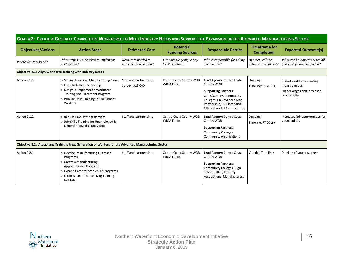| GOAL #2: CREATE A GLOBALLY COMPETITIVE WORKFORCE TO MEET INDUSTRY NEEDS AND SUPPORT THE EXPANSION OF THE ADVANCED MANUFACTURING SECTOR |                                                                                                                                                                                                   |                                               |                                              |                                                                                                                                                                                             |                                           |                                                                                           |
|----------------------------------------------------------------------------------------------------------------------------------------|---------------------------------------------------------------------------------------------------------------------------------------------------------------------------------------------------|-----------------------------------------------|----------------------------------------------|---------------------------------------------------------------------------------------------------------------------------------------------------------------------------------------------|-------------------------------------------|-------------------------------------------------------------------------------------------|
| <b>Objectives/Actions</b>                                                                                                              | <b>Action Steps</b>                                                                                                                                                                               | <b>Estimated Cost</b>                         | <b>Potential</b><br><b>Funding Sources</b>   | <b>Responsible Parties</b>                                                                                                                                                                  | <b>Timeframe for</b><br><b>Completion</b> | <b>Expected Outcome(s)</b>                                                                |
| Where we want to be?                                                                                                                   | What steps must be taken to implement<br>each action?                                                                                                                                             | Resources needed to<br>implement this action? | How are we going to pay<br>for this action?  | Who is responsible for taking<br>each action?                                                                                                                                               | By when will the<br>action be completed?  | What can be expected when all<br>action steps are completed?                              |
|                                                                                                                                        | Objective 2.1: Align Workforce Training with Industry Needs                                                                                                                                       |                                               |                                              |                                                                                                                                                                                             |                                           |                                                                                           |
| Action 2.1.1:                                                                                                                          | > Survey Advanced Manufacturing Firms<br>> Form Industry Partnerships<br>> Design & Implement a Workforce<br>Training/Job Placement Program<br>> Provide Skills Training for Incumbent<br>Workers | Staff and partner time<br>Survey: \$18,000    | Contra Costa County WDB<br><b>WIOA Funds</b> | Lead Agency: Contra Costa<br>County WDB<br><b>Supporting Partners:</b><br>Cities/County, Community<br>Colleges, EB Advanced Mfg<br>Partnership, EB Biomedical<br>Mfg Network, Manufacturers | Ongoing<br>Timeline: FY 2019+             | Skilled workforce meeting<br>industry needs<br>Higher wages and increased<br>productivity |
| Action 2.1.2                                                                                                                           | > Reduce Employment Barriers<br>> Job/Skills Training for Unemployed &<br><b>Underemployed Young Adults</b>                                                                                       | Staff and partner time                        | Contra Costa County WDB<br><b>WIOA Funds</b> | Lead Agency: Contra Costa<br>County WDB<br><b>Supporting Partners:</b><br>Community Colleges,<br>Community organizations                                                                    | Ongoing<br>Timeline: FY 2019+             | Increased job opportunities for<br>young adults                                           |
|                                                                                                                                        | Objective 2.2: Attract and Train the Next Generation of Workers for the Advanced Manufacturing Sector                                                                                             |                                               |                                              |                                                                                                                                                                                             |                                           |                                                                                           |
| Action 2.2.1                                                                                                                           | > Develop Manufacturing Outreach<br>Programs<br>> Create a Manufacturing<br>Apprenticeship Program<br>> Expand Career/Technical Ed Programs<br>> Establish an Advanced Mfg Training<br>Institute  | Staff and partner time                        | Contra Costa County WDB<br><b>WIOA Funds</b> | Lead Agency: Contra Costa<br>County WDB<br><b>Supporting Partners:</b><br>Community Colleges, High<br>Schools, ROP, Industry<br>Associations, Manufacturers                                 | Variable Timelines                        | Pipeline of young workers                                                                 |

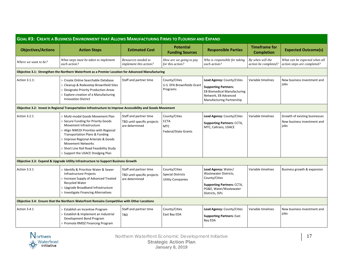| <b>GOAL #3: CREATE A BUSINESS ENVIRONMENT THAT ALLOWS MANUFACTURING FIRMS TO FLOURISH AND EXPAND</b>        |                                                                                                                                                                                                                                                                                                                                      |                                                                         |                                                                           |                                                                                                                                                      |                                           |                                                                      |
|-------------------------------------------------------------------------------------------------------------|--------------------------------------------------------------------------------------------------------------------------------------------------------------------------------------------------------------------------------------------------------------------------------------------------------------------------------------|-------------------------------------------------------------------------|---------------------------------------------------------------------------|------------------------------------------------------------------------------------------------------------------------------------------------------|-------------------------------------------|----------------------------------------------------------------------|
| <b>Objectives/Actions</b>                                                                                   | <b>Action Steps</b>                                                                                                                                                                                                                                                                                                                  | <b>Estimated Cost</b>                                                   | <b>Potential</b><br><b>Funding Sources</b>                                | <b>Responsible Parties</b>                                                                                                                           | <b>Timeframe for</b><br><b>Completion</b> | <b>Expected Outcome(s)</b>                                           |
| Where we want to be?                                                                                        | What steps must be taken to implement<br>each action?                                                                                                                                                                                                                                                                                | Resources needed to<br>implement this action?                           | How are we going to pay<br>for this action?                               | Who is responsible for taking<br>each action?                                                                                                        | By when will the<br>action be completed?  | What can be expected when all<br>action steps are completed?         |
|                                                                                                             | Objective 3.1: Strengthen the Northern Waterfront as a Premier Location for Advanced Manufacturing                                                                                                                                                                                                                                   |                                                                         |                                                                           |                                                                                                                                                      |                                           |                                                                      |
| Action 3.1.1:                                                                                               | > Create Online Searchable Database<br>> Cleanup & Redevelop Brownfield Sites<br>> Designate Priority Production Areas<br>> Explore creation of a Manufacturing<br><b>Innovation District</b>                                                                                                                                        | Staff and partner time                                                  | County/Cities<br>U.S. EPA Brownfields Grant<br>Programs                   | Lead Agency: County/Cities<br><b>Supporting Partners:</b><br><b>EB Biomedical Manufacturing</b><br>Network, EB Advanced<br>Manufacturing Partnership | Variable timelines                        | New business investment and<br>iobs                                  |
| Objective 3.2: Invest in Regional Transportation Infrastructure to Improve Accessibility and Goods Movement |                                                                                                                                                                                                                                                                                                                                      |                                                                         |                                                                           |                                                                                                                                                      |                                           |                                                                      |
| Action 3.2.1                                                                                                | > Multi-modal Goods Movement Plan<br>> Secure Funding for Priority Goods<br>Movement Infrastructure<br>> Align NWEDI Priorities with Regional<br>Transportation Plans & Funding<br>> Improve Regional Arterials & Goods<br><b>Movement Networks</b><br>> Short Line Rail Road Feasibility Study<br>> Support the USACE Dredging Plan | Staff and partner time<br>TBD until specific projects<br>are determined | County/Cities<br><b>CCTA</b><br><b>MTC</b><br><b>Federal/State Grants</b> | Lead Agency: County/Cities<br><b>Supporting Partners: CCTA,</b><br>MTC, Caltrans, USACE                                                              | Variable timelines                        | Growth of existing businesses<br>New business investment and<br>iobs |
|                                                                                                             | Objective 3.3: Expand & Upgrade Utility Infrastructure to Support Business Growth                                                                                                                                                                                                                                                    |                                                                         |                                                                           |                                                                                                                                                      |                                           |                                                                      |
| Action 3.3.1                                                                                                | > Identify & Prioritize Water & Sewer<br>Infrastructure Projects<br>> Increase Supply of Advanced Treated<br>Recycled Water<br>> Upgrade Broadband Infrastructure<br>> Investigate Financing Alternatives                                                                                                                            | Staff and partner time<br>TBD until specific projects<br>are determined | County/Cities<br><b>Special Districts</b><br><b>Utility Companies</b>     | Lead Agency: Water/<br>Wastewater Districts,<br>County/Cities<br><b>Supporting Partners: CCTA,</b><br>PG&E, Water/Wastewater<br>Districts, ISPs      | Variable timelines                        | Business growth & expansion                                          |
|                                                                                                             | Objective 3.4: Ensure that the Northern Waterfront Remains Competitive with Other Locations                                                                                                                                                                                                                                          |                                                                         |                                                                           |                                                                                                                                                      |                                           |                                                                      |
| Action 3.4.1                                                                                                | > Establish an Incentive Program<br>> Establish & Implement an Industrial<br>Development Bond Program<br>> Promote RMDZ Financing Program                                                                                                                                                                                            | Staff and partner time<br>TBD                                           | County/Cities<br>East Bay EDA                                             | Lead Agency: County/Cities<br><b>Supporting Partners: East</b><br>Bay EDA                                                                            | Variable timelines                        | New business investment and<br>jobs                                  |

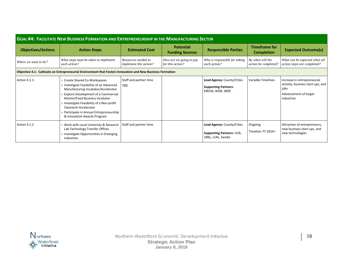| <b>GOAL #4: FACILITATE NEW BUSINESS FORMATION AND ENTREPRENEURSHIP IN THE MANUFACTURING SECTOR</b>         |                                                                                                                                                                                                                                                                                                                                               |                                               |                                             |                                                                               |                                           |                                                                                                                 |  |
|------------------------------------------------------------------------------------------------------------|-----------------------------------------------------------------------------------------------------------------------------------------------------------------------------------------------------------------------------------------------------------------------------------------------------------------------------------------------|-----------------------------------------------|---------------------------------------------|-------------------------------------------------------------------------------|-------------------------------------------|-----------------------------------------------------------------------------------------------------------------|--|
| <b>Objectives/Actions</b>                                                                                  | <b>Action Steps</b>                                                                                                                                                                                                                                                                                                                           | <b>Estimated Cost</b>                         | <b>Potential</b><br><b>Funding Sources</b>  | <b>Responsible Parties</b>                                                    | <b>Timeframe for</b><br><b>Completion</b> | <b>Expected Outcome(s)</b>                                                                                      |  |
| Where we want to be?                                                                                       | What steps must be taken to implement<br>each action?                                                                                                                                                                                                                                                                                         | Resources needed to<br>implement this action? | How are we going to pay<br>for this action? | Who is responsible for taking<br>each action?                                 | By when will the<br>action be completed?  | What can be expected when all<br>action steps are completed?                                                    |  |
| Objective 4.1: Cultivate an Entrepreneurial Environment that Fosters Innovation and New Business Formation |                                                                                                                                                                                                                                                                                                                                               |                                               |                                             |                                                                               |                                           |                                                                                                                 |  |
| Action 4.1.1:                                                                                              | > Create Shared Co-Workspaces<br>> Investigate Feasibility of an Advanced<br>Manufacturing Incubator/Accelerator<br>> Explore Development of a Commercial<br>Kitchen/Food Business Incubator<br>> Investigate Feasibility of a Non-profit<br>Cleantech Accelerator<br>> Participate in Annual Entrepreneurship<br>& Innovation Awards Program | Staff and partner time<br>TBD                 |                                             | Lead Agency: County/Cities<br><b>Supporting Partners:</b><br>EBEDA, WDB, SBDC | Variable Timelines                        | Increase in entrepreneurial<br>activity, business start-ups, and<br>jobs<br>Advancement of target<br>industries |  |
| Action 4.1.2                                                                                               | > Work with Local University & Research<br>Lab Technology Transfer Offices<br>> Investigate Opportunities in Emerging<br>Industries                                                                                                                                                                                                           | Staff and partner time                        |                                             | Lead Agency: County/Cities<br>Supporting Partners: UCB,<br>LBNL, LLNL, Sandia | Ongoing<br>Timeline: FY 2019+             | Attraction of entrepreneurs,<br>new business start-ups, and<br>new technologies                                 |  |

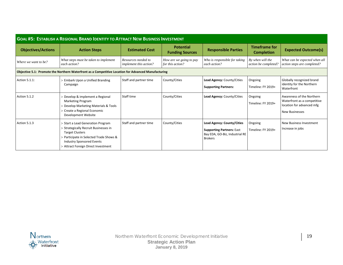| <b>GOAL #5: ESTABLISH A REGIONAL BRAND IDENTITY TO ATTRACT NEW BUSINESS INVESTMENT</b>              |                                                                                                                                                                                                                            |                                               |                                             |                                                                                                                    |                                           |                                                                                                                |  |
|-----------------------------------------------------------------------------------------------------|----------------------------------------------------------------------------------------------------------------------------------------------------------------------------------------------------------------------------|-----------------------------------------------|---------------------------------------------|--------------------------------------------------------------------------------------------------------------------|-------------------------------------------|----------------------------------------------------------------------------------------------------------------|--|
| <b>Objectives/Actions</b>                                                                           | <b>Action Steps</b>                                                                                                                                                                                                        | <b>Estimated Cost</b>                         | <b>Potential</b><br><b>Funding Sources</b>  | <b>Responsible Parties</b>                                                                                         | <b>Timeframe for</b><br><b>Completion</b> | <b>Expected Outcome(s)</b>                                                                                     |  |
| Where we want to be?                                                                                | What steps must be taken to implement<br>each action?                                                                                                                                                                      | Resources needed to<br>implement this action? | How are we going to pay<br>for this action? | Who is responsible for taking<br>each action?                                                                      | By when will the<br>action be completed?  | What can be expected when all<br>action steps are completed?                                                   |  |
| Objective 5.1: Promote the Northern Waterfront as a Competitive Location for Advanced Manufacturing |                                                                                                                                                                                                                            |                                               |                                             |                                                                                                                    |                                           |                                                                                                                |  |
| Action 5.1.1:                                                                                       | > Embark Upon a Unified Branding<br>Campaign                                                                                                                                                                               | Staff and partner time                        | County/Cities                               | Lead Agency: County/Cities<br><b>Supporting Partners:</b>                                                          | Ongoing<br>Timeline: FY 2019+             | Globally recognized brand<br>identity for the Northern<br>Waterfront                                           |  |
| Action 5.1.2                                                                                        | > Develop & implement a Regional<br>Marketing Program<br>> Develop Marketing Materials & Tools<br>> Create a Regional Economic<br>Development Website                                                                      | Staff time                                    | County/Cities                               | Lead Agency: County/Cities                                                                                         | Ongoing<br>Timeline: FY 2019+             | Awareness of the Northern<br>Waterfront as a competitive<br>location for advanced mfg<br><b>New Businesses</b> |  |
| Action 5.1.3                                                                                        | > Start a Lead Generation Program<br>> Strategically Recruit Businesses in<br><b>Target Clusters</b><br>> Participate in Selected Trade Shows &<br><b>Industry Sponsored Events</b><br>> Attract Foreign Direct Investment | Staff and partner time                        | County/Cities                               | Lead Agency: County/Cities<br><b>Supporting Partners: East</b><br>Bay EDA, GO-Biz, Industrial RE<br><b>Brokers</b> | Ongoing<br>Timeline: FY 2019+             | New Business Investment<br>Increase in jobs                                                                    |  |

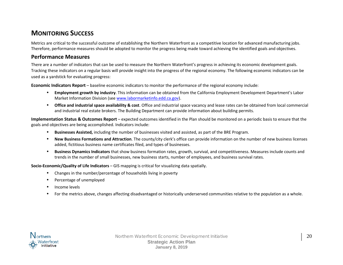# **MONITORING SUCCESS**

Metrics are critical to the successful outcome of establishing the Northern Waterfront as a competitive location for advanced manufacturing jobs. Therefore, performance measures should be adopted to monitor the progress being made toward achieving the identified goals and objectives.

### **Performance Measures**

There are a number of indicators that can be used to measure the Northern Waterfront's progress in achieving its economic development goals. Tracking these indicators on a regular basis will provide insight into the progress of the regional economy. The following economic indicators can be used as a yardstick for evaluating progress:

**Economic Indicators Report** – baseline economic indicators to monitor the performance of the regional economy include:

- **Employment growth by industry**. This information can be obtained from the California Employment Development Department's Labor Market Information Division (see [www.labormarketinfo.edd.ca.gov\)](https://www.labormarketinfo.edd.ca.gov/).
- **Office and industrial space availability & cost**. Office and industrial space vacancy and lease rates can be obtained from local commercial and industrial real estate brokers. The Building Department can provide information about building permits.

**Implementation Status & Outcomes Report** – expected outcomes identified in the Plan should be monitored on a periodic basis to ensure that the goals and objectives are being accomplished. Indicators include:

- **Businesses Assisted,** including the number of businesses visited and assisted, as part of the BRE Program.
- **New Business Formations and Attraction**. The county/city clerk's office can provide information on the number of new business licenses added, fictitious business name certificates filed, and types of businesses.
- **Business Dynamics Indicators** that show business formation rates, growth, survival, and competitiveness. Measures include counts and trends in the number of small businesses, new business starts, number of employees, and business survival rates.

**Socio-Economic/Quality of Life Indicators** – GIS mapping is critical for visualizing data spatially.

- Changes in the number/percentage of households living in poverty
- Percentage of unemployed
- Income levels
- For the metrics above, changes affecting disadvantaged or historically underserved communities relative to the population as a whole.

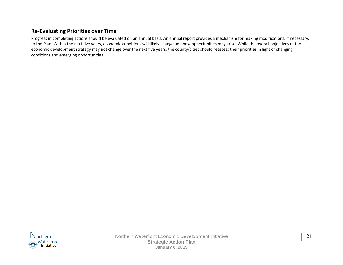# **Re-Evaluating Priorities over Time**

Progress in completing actions should be evaluated on an annual basis. An annual report provides a mechanism for making modifications, if necessary, to the Plan. Within the next five years, economic conditions will likely change and new opportunities may arise. While the overall objectives of the economic development strategy may not change over the next five years, the county/cities should reassess their priorities in light of changing conditions and emerging opportunities.

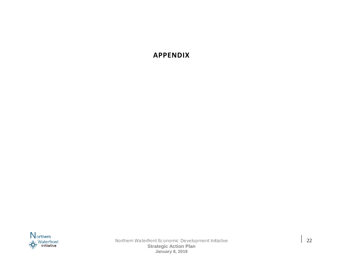# **APPENDIX**



Northern Waterfront Economic Development Initiative  $\begin{array}{|c|c|c|c|}\n\hline\n&22\n\end{array}$ **Strategic Action Plan January 8, 2019**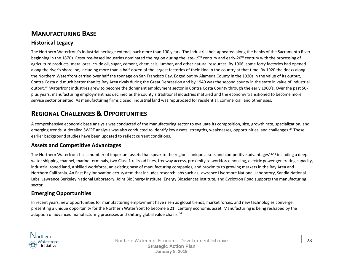# **MANUFACTURING BASE**

# **Historical Legacy**

The Northern Waterfront's industrial heritage extends back more than 100 years. The industrial belt appeared along the banks of the Sacramento River beginning in the 1870s. Resource-based industries dominated the region during the late-19<sup>th</sup> century and early-20<sup>th</sup> century with the processing of agriculture products, metal ores, crude oil, sugar, cement, chemicals, lumber, and other natural resources. By 1906, some forty factories had opened along the river's shoreline, including more than a half-dozen of the largest factories of their kind in the country at that time. By 1920 the docks along the Northern Waterfront carried over half the tonnage on San Francisco Bay. Edged out by Alameda County in the 1920s in the value of its output, Contra Costa did much better than its Bay Area rivals during the Great Depression and by 1940 was the second county in the state in value of industrial output.<sup>[40](#page-37-33)</sup> Waterfront industries grew to become the dominant employment sector in Contra Costa County through the early 1960's. Over the past 50plus years, manufacturing employment has declined as the county's traditional industries matured and the economy transitioned to become more service sector oriented. As manufacturing firms closed, industrial land was repurposed for residential, commercial, and other uses.

# **REGIONAL CHALLENGES & OPPORTUNITIES**

A comprehensive economic base analysis was conducted of the manufacturing sector to evaluate its composition, size, growth rate, specialization, and emerging trends. A detailed SWOT analysis was also conducted to identify key assets, strengths, weaknesses, opportunities, and challenges.[41](#page-37-34) These earlier background studies have been updated to reflect current conditions.

# **Assets and Competitive Advantages**

The Northern Waterfront has a number of important assets that speak to the region's unique assets and competitive advantages<sup>[42](#page-37-35),[43](#page-37-36)</sup> including a deepwater shipping channel, marine terminals, two Class 1 railroad lines, freeway access, proximity to workforce housing, electric power generating capacity, industrial zoned land, a skilled workforce, an existing base of manufacturing companies, and proximity to growing markets in the Bay Area and Northern California. An East Bay innovation eco-system that includes research labs such as Lawrence Livermore National Laboratory, Sandia National Labs, Lawrence Berkeley National Laboratory, Joint BioEnergy Institute, Energy Biosciences Institute, and Cyclotron Road supports the manufacturing sector.

# **Emerging Opportunities**

In recent years, new opportunities for manufacturing employment have risen as global trends, market forces, and new technologies converge, presenting a unique opportunity for the Northern Waterfront to become a 21<sup>st</sup> century economic asset. Manufacturing is being reshaped by the adoption of advanced manufacturing processes and shifting global value chains.<sup>[44](#page-37-37)</sup>

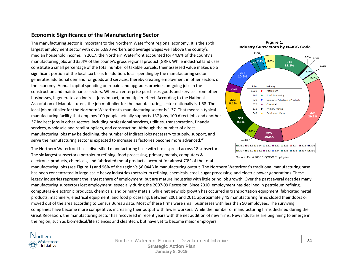# **Economic Significance of the Manufacturing Sector**

The manufacturing sector is important to the Northern Waterfront regional economy. It is the sixth largest employment sector with over 6,680 workers and average wages well above the county's median household income. In 2017, the Northern Waterfront accounted for 44.8% of the county's manufacturing jobs and 35.4% of the county's gross regional product (GRP). While industrial land uses constitute a small percentage of the total number of taxable parcels, their assessed value makes up a significant portion of the local tax base. In addition, local spending by the manufacturing sector generates additional demand for goods and services, thereby creating employment in other sectors of the economy. Annual capital spending on repairs and upgrades provides on-going jobs in the construction and maintenance sectors. When an enterprise purchases goods and services from other businesses, it generates an indirect jobs impact, or multiplier effect. According to the National Association of Manufacturers, the job multiplier for the manufacturing sector nationally is 1.58. The local job multiplier for the Northern Waterfront's manufacturing sector is 1.37. That means a typical manufacturing facility that employs 100 people actually supports 137 jobs, 100 direct jobs and another 37 indirect jobs in other sectors, including professional services, utilities, transportation, financial services, wholesale and retail suppliers, and construction. Although the number of direct manufacturing jobs may be declining, the number of indirect jobs necessary to supply, support, and serve the manufacturing sector is expected to increase as factories become more advanced.<sup>[45](#page-37-38)</sup>

The Northern Waterfront has a diversified manufacturing base with firms spread across 18 subsectors. The six largest subsectors (petroleum refining, food processing, primary metals, computers & electronic products, chemicals, and fabricated metal products) account for almost 70% of the total







Source: Emsi 2018.1 QCEW Employees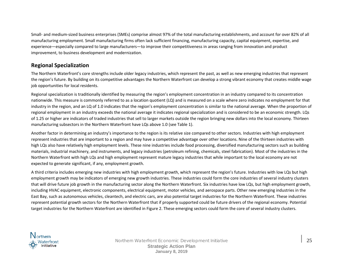Small- and medium-sized business enterprises (SMEs) comprise almost 97% of the total manufacturing establishments, and account for over 82% of all manufacturing employment. Small manufacturing firms often lack sufficient financing, manufacturing capacity, capital equipment, expertise, and experience—especially compared to large manufacturers—to improve their competitiveness in areas ranging from innovation and product improvement, to business development and modernization.

### **Regional Specialization**

The Northern Waterfront's core strengths include older legacy industries, which represent the past, as well as new emerging industries that represent the region's future. By building on its competitive advantages the Northern Waterfront can develop a strong vibrant economy that creates middle wage job opportunities for local residents.

Regional specialization is traditionally identified by measuring the region's employment concentration in an industry compared to its concentration nationwide. This measure is commonly referred to as a location quotient (LQ) and is measured on a scale where zero indicates no employment for that industry in the region, and an LQ of 1.0 indicates that the region's employment concentration is similar to the national average. When the proportion of regional employment in an industry exceeds the national average it indicates regional specialization and is considered to be an economic strength. LQs of 1.25 or higher are indicators of traded industries that sell to larger markets outside the region bringing new dollars into the local economy. Thirteen manufacturing subsectors in the Northern Waterfront have LQs above 1.0 (see Table 1).

Another factor in determining an industry's importance to the region is its relative size compared to other sectors. Industries with high employment represent industries that are important to a region and may have a competitive advantage over other locations. Nine of the thirteen industries with high LQs also have relatively high employment levels. These nine industries include food processing, diversified manufacturing sectors such as building materials, industrial machinery, and instruments, and legacy industries (petroleum refining, chemicals, steel fabrication). Most of the industries in the Northern Waterfront with high LQs and high employment represent mature legacy industries that while important to the local economy are not expected to generate significant, if any, employment growth.

A third criteria includes emerging new industries with high employment growth, which represent the region's future. Industries with low LQs but high employment growth may be indicators of emerging new growth industries. These industries could form the core industries of several industry clusters that will drive future job growth in the manufacturing sector along the Northern Waterfront. Six industries have low LQs, but high employment growth, including HVAC equipment, electronic components, electrical equipment, motor vehicles, and aerospace parts. Other new emerging industries in the East Bay, such as autonomous vehicles, cleantech, and electric cars, are also potential target industries for the Northern Waterfront. These industries represent potential growth sectors for the Northern Waterfront that if properly supported could be future drivers of the regional economy. Potential target industries for the Northern Waterfront are identified in Figure 2. These emerging sectors could form the core of several industry clusters.

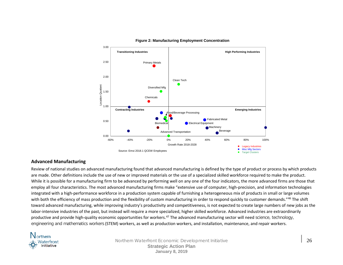

#### **Figure 2: Manufacturing Employment Concentration**

#### **Advanced Manufacturing**

Review of national studies on advanced manufacturing found that advanced manufacturing is defined by the type of product or process by which products are made. Other definitions include the use of new or improved materials or the use of a specialized skilled workforce required to make the product. While it is possible for a manufacturing firm to be advanced by performing well on any one of the four indicators, the more advanced firms are those that employ all four characteristics. The most advanced manufacturing firms make "extensive use of computer, high-precision, and information technologies integrated with a high-performance workforce in a production system capable of furnishing a heterogeneous mix of products in small or large volumes with both the efficiency of mass production and the flexibility of custom manufacturing in order to respond quickly to customer demands."<sup>[46](#page-37-39)</sup> The shift toward advanced manufacturing, while improving industry's productivity and competitiveness, is not expected to create large numbers of new jobs as the labor-intensive industries of the past, but instead will require a more specialized, higher skilled workforce. Advanced industries are extraordinarily productive and provide high-quality economic opportunities for workers.<sup>[47](#page-37-40)</sup> The advanced manufacturing sector will need science, technology, engineering and mathematics workers (STEM) workers, as well as production workers, and installation, maintenance, and repair workers.



Northern Waterfront Economic Development Initiative 26 **Strategic Action Plan January 8, 2019**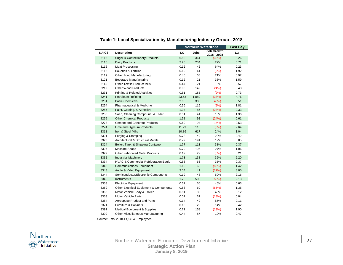|              |                                                    | <b>Northern Waterfront</b> |             |                                  | <b>East Bay</b> |
|--------------|----------------------------------------------------|----------------------------|-------------|----------------------------------|-----------------|
| <b>NAICS</b> | <b>Description</b>                                 | LQ                         | <b>Jobs</b> | <b>Job Growth</b><br>2018 - 2028 | LQ              |
| 3113         | <b>Sugar &amp; Confectionery Products</b>          | 6.82                       | 361         | (32%)                            | 3.26            |
| 3115         | Dairy Products                                     | 2.28                       | 234         | 22%                              | 0.71            |
| 3116         | <b>Meat Processing</b>                             | 0.12                       | 42          | 64%                              | 0.23            |
| 3118         | <b>Bakeries &amp; Tortillas</b>                    | 0.19                       | 41          | (2%)                             | 1.92            |
| 3119         | Other Food Manufacturing                           | 0.40                       | 63          | 21%                              | 0.92            |
| 3121         | <b>Beverage Manufacturing</b>                      | 0.12                       | 21          | 33%                              | 1.59            |
| 3149         | <b>Other Textile Product Mills</b>                 | 0.47                       | 21          | 5%                               | 0.57            |
| 3219         | Other Wood Products                                | 0.93                       | 149         | 24%)                             | 0.48            |
| 3231         | <b>Printing &amp; Related Activities</b>           | 0.61                       | 185         | (2%)                             | 0.73            |
| 3241         | Petroleum Refining                                 | 23.53                      | 1,880       | (38%)                            | 4.76            |
| 3251         | <b>Basic Chemicals</b>                             | 2.85                       | 303         | 46%)                             | 0.51            |
| 3254         | Pharmaceutical & Medicine                          | 0.56                       | 115         | (9%)                             | 1.81            |
| 3255         | Paint, Coating, & Adhesive                         | 1.94                       | 86          | (23%)                            | 0.33            |
| 3256         | Soap, Cleaning Compound, & Toilet                  | 0.54                       | 41          | 15%                              | 1.36            |
| 3259         | <b>Other Chemical Products</b>                     | 1.58                       | 92          | (24%)                            | 0.61            |
| 3273         | <b>Cement and Concrete Products</b>                | 0.69                       | 94          | 14%                              | 0.53            |
| 3274         | Lime and Gypsum Products                           | 11.29                      | 115         | (3%)                             | 2.64            |
| 3311         | Iron & Steel Mills                                 | 10.86                      | 617         | 24%                              | 1.04            |
| 3321         | Forging & Stamping                                 | 0.72                       | 49          | 22%                              | 0.42            |
| 3323         | Architectural & Structural Metals                  | 0.72                       | 191         | 12%                              | 0.85            |
| 3324         | Boiler, Tank, & Shipping Container                 | 1.77                       | 113         | 38%                              | 0.37            |
| 3327         | <b>Machine Shops</b>                               | 0.79                       | 195         | 27%                              | 1.06            |
| 3329         | <b>Other Fabricated Metal Products</b>             | 0.12                       | 22          | (5%)                             | 0.21            |
| 3332         | <b>Industrial Machinery</b>                        | 1.73                       | 138         | 35%                              | 5.20            |
| 3334         | HVAC & Commercial Refrigeration Equip              | 0.68                       | 63          | 35%                              | 0.37            |
| 3342         | <b>Communications Equipment</b>                    | 1.10                       | 65          | (83%)                            | 1.42            |
| 3343         | Audio & Video Equipment                            | 3.04                       | 41          | (17%)                            | 3.05            |
| 3344         | Semiconductor/Electronic Components                | 0.19                       | 48          | 50%                              | 2.16            |
| 3345         | <b>Instruments</b>                                 | 1.78                       | 500         | 55%)                             | 2.13            |
| 3353         | <b>Electrical Equipment</b>                        | 0.57                       | 56          | 46%                              | 0.63            |
| 3359         | <b>Other Electrical Equipment &amp; Components</b> | 0.63                       | 60          | (65%)                            | 1.35            |
| 3362         | Motor Vehicle Body & Trailer                       | 0.81                       | 89          | 49%                              | 0.12            |
| 3363         | <b>Motor Vehicle Parts</b>                         | 0.07                       | 31          | (13%)                            | 0.04            |
| 3364         | Aerospace Product and Parts                        | 0.14                       | 49          | 55%                              | 0.11            |
| 3371         | Furniture & Cabinets                               | 0.13                       | 22          | 14%                              | 0.42            |
| 3391         | Medical Equipment & Supplies                       | 0.71                       | 158         | (13%)                            | 1.90            |
| 3399         | Other Miscellaneous Manufacturing                  | 0.44                       | 87          | 10%                              | 0.47            |

**Table 1: Local Specialization by Manufacturing Industry Group - 2018**

Source: Emsi 2018.1 QCEW Employees

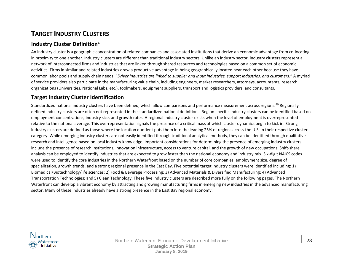# **TARGET INDUSTRY CLUSTERS**

# **Industry Cluster Definition**[48](#page-37-41)

An industry cluster is a geographic concentration of related companies and associated institutions that derive an economic advantage from co-locating in proximity to one another. Industry clusters are different than traditional industry sectors. Unlike an industry sector, industry clusters represent a network of interconnected firms and industries that are linked through shared resources and technologies based on a common set of economic activities. Firms in similar and related industries draw a productive advantage in being geographically located near each other because they have common labor pools and supply chain needs. "*Driver industries are linked to supplier and input industries, support industries, and customers."* A myriad of service providers also participate in the manufacturing value chain, including engineers, market researchers, attorneys, accountants, research organizations (Universities, National Labs, etc.), toolmakers, equipment suppliers, transport and logistics providers, and consultants.

# **Target Industry Cluster Identification**

Standardized national industry clusters have been defined, which allow comparisons and performance measurement across regions.<sup>[49](#page-37-42)</sup> Regionally defined industry clusters are often not represented in the standardized national definitions. Region-specific industry clusters can be identified based on employment concentrations, industry size, and growth rates. A regional industry cluster exists when the level of employment is overrepresented relative to the national average. This overrepresentation signals the presence of a critical mass at which cluster dynamics begin to kick in. Strong industry clusters are defined as those where the location quotient puts them into the leading 25% of regions across the U.S. in their respective cluster category. While emerging industry clusters are not easily identified through traditional analytical methods, they can be identified through qualitative research and intelligence based on local industry knowledge. Important considerations for determining the presence of emerging industry clusters include the presence of research institutions, innovation infrastructure, access to venture capital, and the growth of new occupations. Shift-share analysis can be employed to identify industries that are expected to grow faster than the national economy and industry mix. Six-digit NAICS codes were used to identify the core industries in the Northern Waterfront based on the number of core companies, employment size, degree of specialization, growth trends, and a strong regional presence in the East Bay. Five potential target industry clusters were identified including: 1) Biomedical/Biotechnology/life sciences; 2) Food & Beverage Processing; 3) Advanced Materials & Diversified Manufacturing; 4) Advanced Transportation Technologies; and 5) Clean Technology. These five industry clusters are described more fully on the following pages. The Northern Waterfront can develop a vibrant economy by attracting and growing manufacturing firms in emerging new industries in the advanced manufacturing sector. Many of these industries already have a strong presence in the East Bay regional economy.

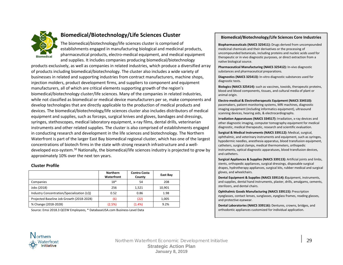

# **Biomedical/Biotechnology/Life Sciences Cluster**

The biomedical/biotechnology/life sciences cluster is comprised of establishments engaged in manufacturing biological and medicinal products, pharmaceutical products, electro-medical equipment, and medical equipment and supplies. It includes companies producing biomedical/biotechnology

products exclusively, as well as companies in related industries, which produce a diversified array of products including biomedical/biotechnology. The cluster also includes a wide variety of businesses in related and supporting industries from contract manufacturers, machine shops, injection molders, product development firms, and suppliers to component and equipment manufacturers, all of which are critical elements supporting growth of the region's biomedical/biotechnology cluster/life sciences. Many of the companies in related industries, while not classified as biomedical or medical device manufacturers per se, make components and develop technologies that are directly applicable to the production of medical products and devices. The biomedical/biotechnology/life sciences cluster also includes distributors of medical equipment and supplies, such as forceps, surgical knives and gloves, bandages and dressings, syringes, stethoscopes, medical laboratory equipment, x-ray films, dental drills, veterinarian instruments and other related supplies. The cluster is also comprised of establishments engaged in conducting research and development in the life sciences and biotechnology. The Northern Waterfront is part of the larger East Bay biomedical regional cluster, which has one of the largest concentrations of biotech firms in the state with strong research infrastructure and a well-developed eco-system.<sup>[50](#page-37-43)</sup> Nationally, the biomedical/life sciences industry is projected to grow by approximately 10% over the next ten years.

#### **Cluster Profile**

|                                            | <b>Northern</b><br>Waterfront | <b>Contra Costa</b><br>County | East Bay |
|--------------------------------------------|-------------------------------|-------------------------------|----------|
| Companies                                  | $18*$                         | 54                            | 208      |
| Jobs (2018)                                | 256                           | 1,521                         | 10,901   |
| Industry Concentration/Specialization (LQ) | 0.52                          | 0.86                          | 1.98     |
| Projected Baseline Job Growth (2018-2028)  | (6)                           | (22)                          | 1,005    |
| % Change (2018-2028)                       | (2.5%)                        | (1.4% )                       | 9.2%     |

Source: Emsi 2018.3 QCEW Employees, \* DatabaseUSA.com Business-Level Data

#### **Biomedical/Biotechnology/Life Sciences Core Industries**

**Biopharmaceuticals (NAICS 325411):** Drugs derived from uncompounded medicinal chemicals and their derivatives or the processing of uncompounded botanicals, including proteins and nucleic acids used for therapeutic or in vivo diagnostic purposes, or direct extraction from a native biological source.

**Pharmaceutical Manufacturing (NAICS 325412):** In-vivo diagnostic substances and pharmaceutical preparations.

**Diagnostics (NAICS 325413):** In-vitro diagnostic substances used for diagnostic tests.

**Biologics (NAICS 325414):** such as vaccines, toxoids, therapeutic proteins, blood and blood components, tissues, and cultural media of plant or animal origin.

**Electro-medical & Electrotherapeutic Equipment (NAICS 334510):** pacemakers, patient-monitoring systems, MRI machines, diagnostic imaging equipment (including informatics equipment), ultrasound scanning devices, hearing aids, & electrocardiographs.

**Irradiation Apparatuses (NAICS 334517):** Irradiation, x-ray devices and other diagnostic imaging, computer tomography equipment for medical diagnostic, medical therapeutic, research and scientific evaluation.

**Surgical & Medical Instruments (NAICS 339112):** Medical, surgical, ophthalmic, and veterinary instruments and equipment, such as syringes, hypodermic needles, anesthesia apparatus, blood transfusion equipment, catheters, surgical clamps, medical thermometers, orthopedic instruments, optical diagnostic apparatuses, blood transfusion devices, and catheters.

**Surgical Appliances & Supplies (NAICS 339113):** Artificial joints and limbs, stents, orthopedic appliances, surgical dressings, disposable surgical drapes, hydrotherapy appliances, surgical kits, rubber medical and surgical gloves, and wheelchairs.

**Dental Equipment & Supplies (NAICS 339114): E**quipment, instruments, and supplies, dental hand instruments, plaster, drills, amalgams, cements, sterilizers, and dental chairs.

**Ophthalmic Goods Manufacturing (NAICS 339115):** Prescription eyeglasses, contact lenses, sunglasses, eyeglass frames, reading glasses, and protective eyewear.

**Dental Laboratories (NAICS 339116):** Dentures, crowns, bridges, and orthodontic appliances customized for individual application.

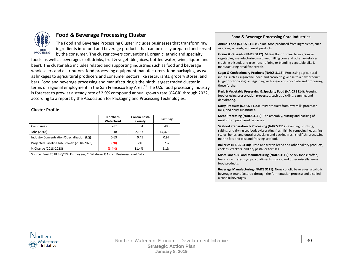

# **Food & Beverage Processing Cluster**

The Food and Beverage Processing Cluster includes businesses that transform raw ingredients into food and beverage products that can be easily prepared and served by the consumer. The cluster covers conventional, organic, ethnic and specialty

foods, as well as beverages (soft drinks, fruit & vegetable juices, bottled water, wine, liquor, and beer). The cluster also includes related and supporting industries such as food and beverage wholesalers and distributors, food processing equipment manufacturers, food packaging, as well as linkages to agricultural producers and consumer sectors like restaurants, grocery stores, and bars. Food and beverage processing and manufacturing is the ninth largest traded cluster in terms of regional employment in the San Francisco Bay Area.<sup>51</sup> The U.S. food processing industry is forecast to grow at a steady rate of 2.9% compound annual growth rate (CAGR) through 2022, according to a report by the Association for Packaging and Processing Technologies.

#### **Cluster Profile**

|                                            | <b>Northern</b><br>Waterfront | Contra Costa<br>County | East Bay |
|--------------------------------------------|-------------------------------|------------------------|----------|
| Companies                                  | $28*$                         | 84                     | 400      |
| Jobs (2018)                                | 818                           | 2.167                  | 14.476   |
| Industry Concentration/Specialization (LQ) | 0.63                          | 0.45                   | 0.97     |
| Projected Baseline Job Growth (2018-2028)  | (28)                          | 248                    | 732      |
| % Change (2018-2028)                       | (3.4%)                        | 11.4%                  | 5.1%     |

Source: Emsi 2018.3 QCEW Employees, \* DatabaseUSA.com Business-Level Data

#### **Food & Beverage Processing Core Industries**

**Animal Food (NAICS 3111):** Animal food produced from ingredients, such as grains, oilseeds, and meat products.

**Grains & Oilseeds (NAICS 3112):** Milling flour or meal from grains or vegetables, manufacturing malt, wet milling corn and other vegetables, crushing oilseeds and tree nuts, refining or blending vegetable oils, & manufacturing breakfast cereals.

**Sugar & Confectionary Products (NAICS 3113):** Processing agricultural inputs, such as sugarcane, beet, and cacao, to give rise to a new product (sugar or chocolate) or beginning with sugar and chocolate and processing these further.

**Fruit & Vegetable Preserving & Specialty Food (NAICS 3114):** Freezing food or using preservation processes, such as pickling, canning, and dehydrating.

**Dairy Products (NAICS 3115):** Dairy products from raw milk, processed milk, and dairy substitutes.

**Meat Processing (NAICS 3116):** The assembly, cutting and packing of meats from purchased carcasses.

**Seafood Preparation & Processing (NAICS 3117):** Canning, smoking, salting, and drying seafood; eviscerating fresh fish by removing heads, fins, scales, bones, and entrails; shucking and packing fresh shellfish; processing marine fats and oils; and freezing seafood.

**Bakeries (NAICS 3118):** Fresh and frozen bread and other bakery products; cookies, crackers, and dry pasta; or tortillas.

**Miscellaneous Food Manufacturing (NAICS 3119):** Snack foods; coffee, tea; concentrates, syrups, condiments, spices; and other miscellaneous food products.

**Beverage Manufacturing (NAICS 3121):** Nonalcoholic beverages; alcoholic beverages manufactured through the fermentation process; and distilled alcoholic beverages.

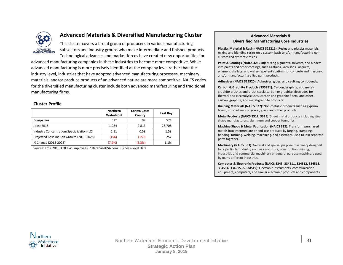

# **Advanced Materials & Diversified Manufacturing Cluster**

This cluster covers a broad group of producers in various manufacturing subsectors and industry groups who make intermediate and finished products. Technological advances and market forces have created new opportunities for

advanced manufacturing companies in these industries to become more competitive. While advanced manufacturing is more precisely identified at the company level rather than the industry level, industries that have adopted advanced manufacturing processes, machinery, materials, and/or produce products of an advanced nature are more competitive. NAICS codes for the diversified manufacturing cluster include both advanced manufacturing and traditional manufacturing firms.

#### **Cluster Profile**

|                                            | <b>Northern</b><br>Waterfront | Contra Costa<br>County | East Bay |
|--------------------------------------------|-------------------------------|------------------------|----------|
| Companies                                  | $52*$                         | 97                     | 574      |
| Jobs (2018)                                | 1,984                         | 2,813                  | 23,708   |
| Industry Concentration/Specialization (LQ) | 1.51                          | 0.58                   | 1.58     |
| Projected Baseline Job Growth (2018-2028)  | (156)                         | (150)                  | 257      |
| % Change (2018-2028)                       | (7.9%                         | (5.3%)                 | 1.1%     |

Source: Emsi 2018.3 QCEW Employees, \* DatabaseUSA.com Business-Level Data

#### **Advanced Materials & Diversified Manufacturing Core Industries**

**Plastics Material & Resin (NAICS 325211):** Resins and plastics materials, mixing and blending resins on a custom basis and/or manufacturing noncustomized synthetic resins.

**Paint & Coatings (NAICS 325510):** Mixing pigments, solvents, and binders into paints and other coatings, such as stains, varnishes, lacquers, enamels, shellacs, and water-repellent coatings for concrete and masonry, and/or manufacturing allied paint products.

**Adhesives (NAICS 325520):** Adhesives, glues, and caulking compounds.

**Carbon & Graphite Products (335991):** Carbon, graphite, and metalgraphite brushes and brush stock; carbon or graphite electrodes for thermal and electrolytic uses; carbon and graphite fibers; and other carbon, graphite, and metal-graphite products.

**Building Materials (NAICS 327):** Non-metallic products such as gypsum board, crushed rock or gravel, glass, and other products.

**Metal Products (NAICS 3312; 3315):** Sheet metal products including steel shape manufacturers, aluminum and copper foundries.

**Machine Shops & Metal Fabrication (NAICS 332)**: Transform purchased metals into intermediate or end-use products by forging, stamping, bending, forming, welding, machining, and assembly, used to join separate parts together.

**Machinery (NAICS 333):** General and special purpose machinery designed for a particular industry such as agriculture, construction, mining, industrial, and commercial machinery or general purpose machinery used by many different industries.

**Computer & Electronic Products (NAICS 3343; 334511, 334512, 334513, 334514, 334515, & 334519):** Electronic instruments, communication equipment, computers, and similar electronic products and components.

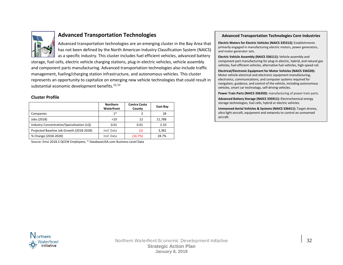

# **Advanced Transportation Technologies**

Advanced transportation technologies are an emerging cluster in the Bay Area that has not been defined by the North American Industry Classification System (NAICS) as a specific industry. This cluster includes fuel efficient vehicles, advanced battery

storage, fuel cells, electric vehicle charging stations, plug-in electric vehicles, vehicle assembly and component parts manufacturing. Advanced transportation technologies also include traffic management, fueling/charging station infrastructure, and autonomous vehicles. This cluster represents an opportunity to capitalize on emerging new vehicle technologies that could result in substantial economic development benefits.<sup>[52,](#page-37-44)[53](#page-37-45)</sup>

#### **Cluster Profile**

|                                            | <b>Northern</b><br>Waterfront | Contra Costa<br>County | East Bay |
|--------------------------------------------|-------------------------------|------------------------|----------|
| Companies                                  | $1*$                          |                        | 28       |
| Jobs (2018)                                | $<$ 10                        | 12                     | 11,788   |
| Industry Concentration/Specialization (LQ) | 0.01                          | 0.01                   | 2.10     |
| Projected Baseline Job Growth (2018-2028)  | Insf. Data                    | (2)                    | 3,381    |
| % Change (2018-2028)                       | Insf. Data                    | (16.7%)                | 28.7%    |

Source: Emsi 2018.3 QCEW Employees, \* DatabaseUSA.com Business-Level Data

#### **Advanced Transportation Technologies Core Industries**

**Electric Motors for Electric Vehicles (NAICS 335312):** Establishments primarily engaged in manufacturing electric motors, power generators, and motor generator sets.

**Electric Vehicle Assembly (NAICS 336111):** Vehicle assembly and component part manufacturing for plug-in electric, hybrid, and natural gas vehicles, fuel efficient vehicles, alternative fuel vehicles, high-speed rail.

**Electrical/Electronic Equipment for Motor Vehicles (NAICS 336320):** Motor vehicle electrical and electronic equipment manufacturing, electronics, communications, and computer systems required for navigation, guidance, and control of the vehicle, including autonomous vehicles, smart car technology, self-driving vehicles.

**Power Train Parts (NAICS 336350):** manufacturing of power train parts.

**Advanced Battery Storage (NAICS 335911):** Electrochemical energy storage technologies, fuel cells, hybrid or electric vehicles.

**Unmanned Aerial Vehicles & Systems (NAICS 336411):** Target drones, ultra light aircraft, equipment and networks to control an unmanned aircraft.

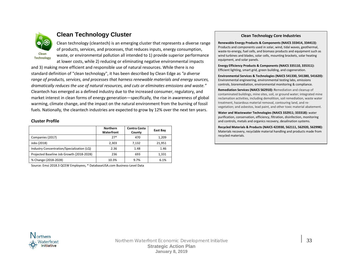

# **Clean Technology Cluster**

Clean technology (cleantech) is an emerging cluster that represents a diverse range of products, services, and processes, that reduces inputs, energy consumption, waste, or environmental pollution all intended to 1) provide superior performance at lower costs, while 2) reducing or eliminating negative environmental impacts

and 3) making more efficient and responsible use of natural resources. While there is no standard definition of "clean technology", it has been described by Clean Edge as *"a diverse range of products, services, and processes that harness renewable materials and energy sources, dramatically reduces the use of natural resources, and cuts or eliminates emissions and waste."* Cleantech has emerged as a defined industry due to the increased consumer, regulatory, and market interest in clean forms of energy generation—specifically, the rise in awareness of global warming, climate change, and the impact on the natural environment from the burning of fossil fuels. Nationally, the cleantech industries are expected to grow by 12% over the next ten years.

#### **Cluster Profile**

|                                            | <b>Northern</b><br>Waterfront | <b>Contra Costa</b><br>County | East Bay |
|--------------------------------------------|-------------------------------|-------------------------------|----------|
| Companies (2017)                           | $27*$                         | 470                           | 1,209    |
| Jobs (2018)                                | 2,303                         | 7,132                         | 21,951   |
| Industry Concentration/Specialization (LQ) | 2.36                          | 1.48                          | 1.46     |
| Projected Baseline Job Growth (2018-2028)  | 236                           | 693                           | 1,331    |
| % Change (2018-2028)                       | 10.3%                         | 9.7%                          | 6.1%     |

Source: Emsi 2018.3 QCEW Employees, \* DatabaseUSA.com Business-Level Data

#### **Clean Technology Core Industries**

**Renewable Energy Products & Components (NAICS 333414, 334413):**  Products and components used in solar, wind, tidal waves, geothermal, waste-to-energy, fuel cells, and biomass products and equipment such as wind turbines and blades, solar cells, mounting brackets, solar heating equipment, and solar panels.

**Energy Efficiency Products & Components (NAICS 335110, 335311):** Efficient lighting, smart grid, green building, and cogeneration.

**Environmental Services & Technologies (NAICS 541330, 541380, 541620):** Environmental engineering, environmental testing labs, emissions controls, bioremediation, environmental monitoring & compliance.

**Remediation Services (NAICS 562910):** Remediation and cleanup of contaminated buildings, mine sites, soil, or ground water; integrated mine reclamation activities, including demolition, soil remediation, waste water treatment, hazardous material removal, contouring land, and revegetation; and asbestos, lead paint, and other toxic material abatement.

**Water and Wastewater Technologies (NAICS 332911; 333318):** water purification, conservation, efficiency, filtration, disinfection, monitoring and controls, metals and organics recovery, desalination systems.

**Recycled Materials & Products (NAICS 423930, 562111, 562920, 562998):** Materials recovery, recyclable material handling and products made from recycled materials.

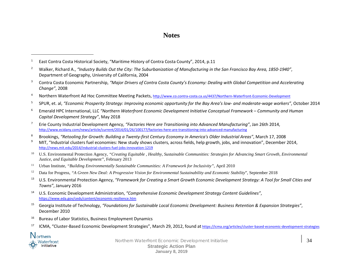# **Notes**

- <sup>2</sup> Walker, Richard A., *"Industry Builds Out the City: The Suburbanization of Manufacturing in the San Francisco Bay Area, 1850-1940"*, Department of Geography, University of California, 2004
- <sup>3</sup> Contra Costa Economic Partnership, *"Major Drivers of Contra Costa County's Economy: Dealing with Global Competition and Accelerating Change"*, 2008
- <sup>4</sup> Northern Waterfront Ad Hoc Committee Meeting Packets,<http://www.co.contra-costa.ca.us/4437/Northern-Waterfront-Economic-Development>
- <sup>5</sup> SPUR, et. al, *"Economic Prosperity Strategy: Improving economic opportunity for the Bay Area's low- and moderate-wage workers"*, October 2014
- <sup>6</sup> Emerald HPC International, LLC *"Northern Waterfront Economic Development Initiative Conceptual Framework – Community and Human Capital Development Strategy"*, May 2018
- <sup>7</sup> Erie County Industrial Development Agency, *"Factories Here are Transitioning into Advanced Manufacturing"*, Jan 26th 2014, <http://www.ecidany.com/news/article/current/2014/01/26/100177/factories-here-are-transitioning-into-advanced-manufacturing>
- <sup>8</sup> Brookings, *"Retooling for Growth: Building a Twenty-first Century Economy in America's Older Industrial Areas"*, March 17, 2008
- <sup>9</sup> MIT, "Industrial clusters fuel economies: New study shows clusters, across fields, help growth, jobs, and innovation", December 2014. <http://news.mit.edu/2014/industrial-clusters-fuel-jobs-innovation-1219>
- <sup>10</sup> U.S. Environmental Protection Agency, "Creating Equitable , Healthy, Sustainable Communities: Strategies for Advancing Smart Growth, Environmental *Justice, and Equitable Development"*, February 2013
- <sup>11</sup> Urban Institute, *"Building Environmentally Sustainable Communities: A Framework for Inclusivity"*, April 2010
- <sup>12</sup> Data for Progress, *"A Green New Deal: A Progressive Vision for Environmental Sustainability and Economic Stability*", September 2018
- <sup>13</sup> U.S. Environmental Protection Agency, *"Framework for Creating a Smart Growth Economic Development Strategy: A Tool for Small Cities and Towns"*, January 2016
- <sup>14</sup> U.S. Economic Development Administration, *"Comprehensive Economic Development Strategy Content Guidelines"*, <https://www.eda.gov/ceds/content/economic-resilience.htm>
- <sup>15</sup> Georgia Institute of Technology, *"Foundations for Sustainable Local Economic Development: Business Retention & Expansion Strategies"*, December 2010
- <sup>16</sup> Bureau of Labor Statistics, Business Employment Dynamics
- <sup>17</sup> ICMA, "Cluster-Based Economic Development Strategies", March 29, 2012, found at <https://icma.org/articles/cluster-based-economic-development-strategies>



 $\overline{a}$ 

<sup>&</sup>lt;sup>1</sup> East Contra Costa Historical Society, "Maritime History of Contra Costa County", 2014, p.11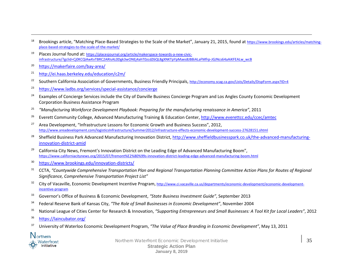- <sup>18</sup> Brookings article, "Matching Place-Based Strategies to the Scale of the Market", January 21, 2015, found at [https://www.brookings.edu/articles/matching](https://www.brookings.edu/articles/matching-place-based-strategies-to-the-scale-of-the-market/)[place-based-strategies-to-the-scale-of-the-market/](https://www.brookings.edu/articles/matching-place-based-strategies-to-the-scale-of-the-market/)
- <sup>19</sup> Places Journal found at[: https://placesjournal.org/article/makerspace-towards-a-new-civic](https://placesjournal.org/article/makerspace-towards-a-new-civic-infrastructure/?gclid=Cj0KCQiAwKvTBRC2ARIsAL0Dgk3wONEj4ahT0zcdZ6QL8gXNKTpYpMaes8JB8iALaFMfrp-JGJNcs64aAiKFEALw_wcB)[infrastructure/?gclid=Cj0KCQiAwKvTBRC2ARIsAL0Dgk3wONEj4ahT0zcdZ6QL8gXNKTpYpMaes8JB8iALaFMfrp-JGJNcs64aAiKFEALw\\_wcB](https://placesjournal.org/article/makerspace-towards-a-new-civic-infrastructure/?gclid=Cj0KCQiAwKvTBRC2ARIsAL0Dgk3wONEj4ahT0zcdZ6QL8gXNKTpYpMaes8JB8iALaFMfrp-JGJNcs64aAiKFEALw_wcB)
- <sup>20</sup> <https://makerfaire.com/bay-area/>

<span id="page-36-2"></span><span id="page-36-1"></span><span id="page-36-0"></span> $\overline{a}$ 

- <sup>21</sup> <http://ei.haas.berkeley.edu/education/c2m/>
- <sup>22</sup> Southern California Association of Governments, Business Friendly Principals[, http://economy.scag.ca.gov/Lists/Details/DispForm.aspx?ID=4](http://economy.scag.ca.gov/Lists/Details/DispForm.aspx?ID=4)
- <sup>23</sup> <https://www.ladbs.org/services/special-assistance/concierge>
- <sup>24</sup> Examples of Concierge Services include the City of Danville Business Concierge Program and Los Angles County Economic Development Corporation Business Assistance Program
- <sup>25</sup> *"Manufacturing Workforce Development Playbook: Preparing for the manufacturing renaissance in America"*, 2011
- <sup>26</sup> Everett Community College, Advanced Manufacturing Training & Education Center,<http://www.everettcc.edu/ccec/amtec>
- <sup>27</sup> Area Development, "Infrastructure Lessons for Economic Growth and Business Success", 2012, <http://www.areadevelopment.com/logisticsInfrastructure/Summer2012/infrastructure-effects-economic-development-success-27628151.shtml>
- <sup>28</sup> Sheffield Business Park Advanced Manufacturing Innovation District, [http://www.sheffieldbusinesspark.co.uk/the-advanced-manufacturing](http://www.sheffieldbusinesspark.co.uk/the-advanced-manufacturing-innovation-district-amid)[innovation-district-amid](http://www.sheffieldbusinesspark.co.uk/the-advanced-manufacturing-innovation-district-amid)
- <sup>29</sup> California City News, Fremont's Innovation District on the Leading Edge of Advanced Manufacturing Boom", <https://www.californiacitynews.org/2015/07/fremont%E2%80%99s-innovation-district-leading-edge-advanced-manufacturing-boom.html>
- <sup>30</sup> <https://www.brookings.edu/innovation-districts/>
- <sup>31</sup> CCTA, "Countywide Comprehensive Transportation Plan and Regional Transportation Planning Committee Action Plans for Routes of Regional *Significance, Comprehensive Transportation Project List"*
- <sup>32</sup> City of Vacaville, Economic Development Incentive Program, [http://www.ci.vacaville.ca.us/departments/economic-development/economic-development](http://www.ci.vacaville.ca.us/departments/economic-development/economic-development-incentive-program)[incentive-program](http://www.ci.vacaville.ca.us/departments/economic-development/economic-development-incentive-program)
- <sup>33</sup> Governor's Office of Business & Economic Development, *"State Business Investment Guide"*, September 2013
- <sup>34</sup> Federal Reserve Bank of Kansas City, *"The Role of Small Businesses in Economic Development"*, November 2004
- <sup>35</sup> National League of Cities Center for Research & Innovation, *"Supporting Entrepreneurs and Small Businesses: A Tool Kit for Local Leaders"*, 2012
- <sup>36</sup> <https://laincubator.org/>
- 37 University of Waterloo Economic Development Program, *"The Value of Place Branding in Economic Development"*, May 13, 2011



Northern Waterfront Economic Development Initiative **35** 35